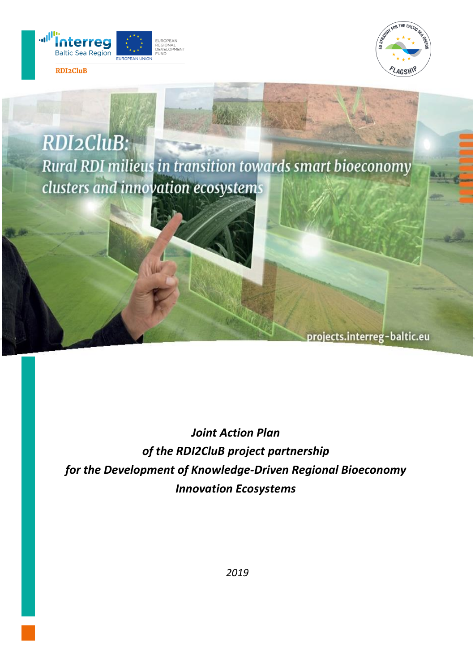





*Joint Action Plan of the RDI2CluB project partnership for the Development of Knowledge-Driven Regional Bioeconomy Innovation Ecosystems*

*2019*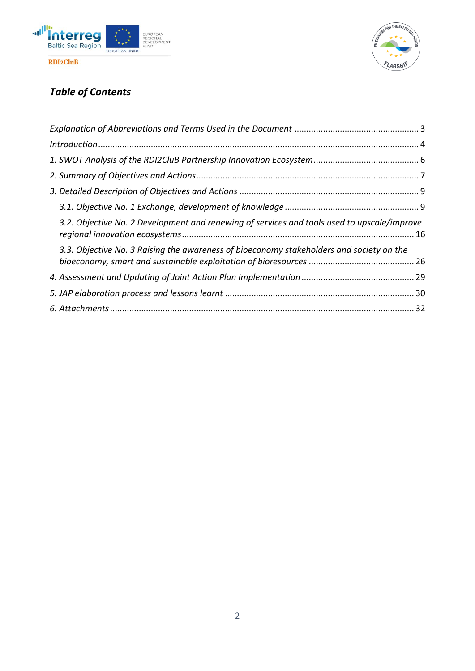



# *Table of Contents*

| 3.2. Objective No. 2 Development and renewing of services and tools used to upscale/improve |  |
|---------------------------------------------------------------------------------------------|--|
| 3.3. Objective No. 3 Raising the awareness of bioeconomy stakeholders and society on the    |  |
|                                                                                             |  |
|                                                                                             |  |
|                                                                                             |  |
|                                                                                             |  |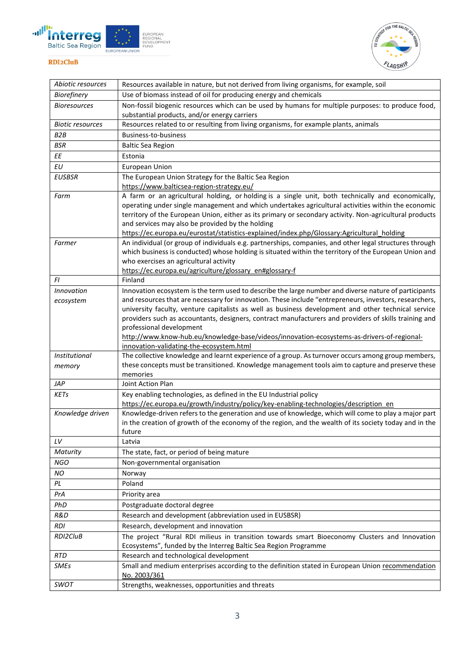



<span id="page-2-0"></span>

| Abiotic resources       | Resources available in nature, but not derived from living organisms, for example, soil                                                                                                                        |
|-------------------------|----------------------------------------------------------------------------------------------------------------------------------------------------------------------------------------------------------------|
| Biorefinery             | Use of biomass instead of oil for producing energy and chemicals                                                                                                                                               |
| <b>Bioresources</b>     | Non-fossil biogenic resources which can be used by humans for multiple purposes: to produce food,                                                                                                              |
|                         | substantial products, and/or energy carriers                                                                                                                                                                   |
| <b>Biotic resources</b> | Resources related to or resulting from living organisms, for example plants, animals                                                                                                                           |
| B <sub>2</sub> B        | <b>Business-to-business</b>                                                                                                                                                                                    |
| <b>BSR</b>              | <b>Baltic Sea Region</b>                                                                                                                                                                                       |
| ΕE                      | Estonia                                                                                                                                                                                                        |
| EU                      | <b>European Union</b>                                                                                                                                                                                          |
| <b>EUSBSR</b>           | The European Union Strategy for the Baltic Sea Region                                                                                                                                                          |
|                         | https://www.balticsea-region-strategy.eu/                                                                                                                                                                      |
| Farm                    | A farm or an agricultural holding, or holding is a single unit, both technically and economically,                                                                                                             |
|                         | operating under single management and which undertakes agricultural activities within the economic                                                                                                             |
|                         | territory of the European Union, either as its primary or secondary activity. Non-agricultural products<br>and services may also be provided by the holding                                                    |
|                         | https://ec.europa.eu/eurostat/statistics-explained/index.php/Glossary:Agricultural_holding                                                                                                                     |
| Farmer                  | An individual (or group of individuals e.g. partnerships, companies, and other legal structures through                                                                                                        |
|                         | which business is conducted) whose holding is situated within the territory of the European Union and                                                                                                          |
|                         | who exercises an agricultural activity                                                                                                                                                                         |
|                         | https://ec.europa.eu/agriculture/glossary_en#glossary-f                                                                                                                                                        |
| FI                      | Finland                                                                                                                                                                                                        |
| <b>Innovation</b>       | Innovation ecosystem is the term used to describe the large number and diverse nature of participants                                                                                                          |
| ecosystem               | and resources that are necessary for innovation. These include "entrepreneurs, investors, researchers,                                                                                                         |
|                         | university faculty, venture capitalists as well as business development and other technical service                                                                                                            |
|                         | providers such as accountants, designers, contract manufacturers and providers of skills training and<br>professional development                                                                              |
|                         | http://www.know-hub.eu/knowledge-base/videos/innovation-ecosystems-as-drivers-of-regional-                                                                                                                     |
|                         | innovation-validating-the-ecosystem.html                                                                                                                                                                       |
| Institutional           | The collective knowledge and learnt experience of a group. As turnover occurs among group members,                                                                                                             |
| memory                  | these concepts must be transitioned. Knowledge management tools aim to capture and preserve these                                                                                                              |
|                         | memories                                                                                                                                                                                                       |
| JAP                     | Joint Action Plan                                                                                                                                                                                              |
| KETs                    | Key enabling technologies, as defined in the EU Industrial policy                                                                                                                                              |
|                         | https://ec.europa.eu/growth/industry/policy/key-enabling-technologies/description en                                                                                                                           |
| Knowledge driven        | Knowledge-driven refers to the generation and use of knowledge, which will come to play a major part<br>in the creation of growth of the economy of the region, and the wealth of its society today and in the |
|                         | future                                                                                                                                                                                                         |
| LV                      | Latvia                                                                                                                                                                                                         |
| Maturity                | The state, fact, or period of being mature                                                                                                                                                                     |
| <b>NGO</b>              | Non-governmental organisation                                                                                                                                                                                  |
| NO                      | Norway                                                                                                                                                                                                         |
| PL                      | Poland                                                                                                                                                                                                         |
| PrA                     | Priority area                                                                                                                                                                                                  |
| PhD                     | Postgraduate doctoral degree                                                                                                                                                                                   |
| R&D                     | Research and development (abbreviation used in EUSBSR)                                                                                                                                                         |
| <b>RDI</b>              | Research, development and innovation                                                                                                                                                                           |
| RDI2CluB                | The project "Rural RDI milieus in transition towards smart Bioeconomy Clusters and Innovation                                                                                                                  |
|                         | Ecosystems", funded by the Interreg Baltic Sea Region Programme                                                                                                                                                |
| RTD                     | Research and technological development                                                                                                                                                                         |
| SMEs                    | Small and medium enterprises according to the definition stated in European Union recommendation                                                                                                               |
|                         | No. 2003/361                                                                                                                                                                                                   |
| SWOT                    | Strengths, weaknesses, opportunities and threats                                                                                                                                                               |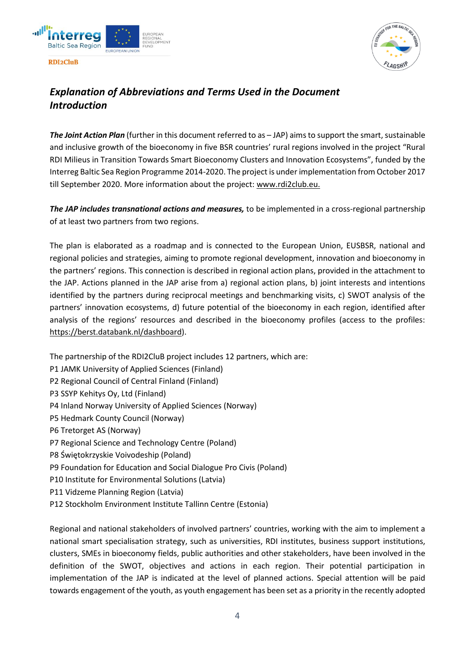

 $OR$  THE  $BA$ 

### <span id="page-3-0"></span>*Explanation of Abbreviations and Terms Used in the Document Introduction*

*The Joint Action Plan* (further in this document referred to as – JAP) aims to support the smart, sustainable and inclusive growth of the bioeconomy in five BSR countries' rural regions involved in the project "Rural RDI Milieus in Transition Towards Smart Bioeconomy Clusters and Innovation Ecosystems", funded by the Interreg Baltic Sea Region Programme 2014-2020. The project is under implementation from October 2017 till September 2020. More information about the project[: www.rdi2club.eu.](http://www.rdi2club.eu/)

*The JAP includes transnational actions and measures,* to be implemented in a cross-regional partnership of at least two partners from two regions.

The plan is elaborated as a roadmap and is connected to the European Union, EUSBSR, national and regional policies and strategies, aiming to promote regional development, innovation and bioeconomy in the partners' regions. This connection is described in regional action plans, provided in the attachment to the JAP. Actions planned in the JAP arise from a) regional action plans, b) joint interests and intentions identified by the partners during reciprocal meetings and benchmarking visits, c) SWOT analysis of the partners' innovation ecosystems, d) future potential of the bioeconomy in each region, identified after analysis of the regions' resources and described in the bioeconomy profiles (access to the profiles: [https://berst.databank.nl/dashboard\)](https://berst.databank.nl/dashboard).

- The partnership of the RDI2CluB project includes 12 partners, which are:
- P1 JAMK University of Applied Sciences (Finland)
- P2 Regional Council of Central Finland (Finland)
- P3 SSYP Kehitys Oy, Ltd (Finland)
- P4 Inland Norway University of Applied Sciences (Norway)
- P5 Hedmark County Council (Norway)
- P6 Tretorget AS (Norway)
- P7 Regional Science and Technology Centre (Poland)
- P8 Świętokrzyskie Voivodeship (Poland)
- P9 Foundation for Education and Social Dialogue Pro Civis (Poland)
- P10 Institute for Environmental Solutions (Latvia)
- P11 Vidzeme Planning Region (Latvia)
- P12 Stockholm Environment Institute Tallinn Centre (Estonia)

Regional and national stakeholders of involved partners' countries, working with the aim to implement a national smart specialisation strategy, such as universities, RDI institutes, business support institutions, clusters, SMEs in bioeconomy fields, public authorities and other stakeholders, have been involved in the definition of the SWOT, objectives and actions in each region. Their potential participation in implementation of the JAP is indicated at the level of planned actions. Special attention will be paid towards engagement of the youth, as youth engagement has been set as a priority in the recently adopted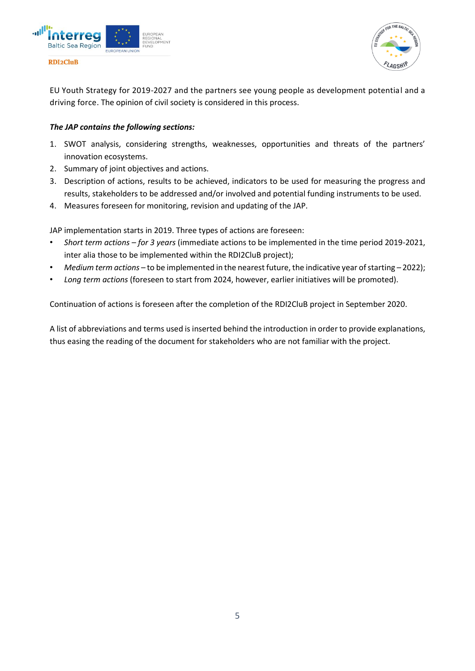

EU Youth Strategy for 2019-2027 and the partners see young people as development potential and a driving force. The opinion of civil society is considered in this process.

### *The JAP contains the following sections:*

- 1. SWOT analysis, considering strengths, weaknesses, opportunities and threats of the partners' innovation ecosystems.
- 2. Summary of joint objectives and actions.
- 3. Description of actions, results to be achieved, indicators to be used for measuring the progress and results, stakeholders to be addressed and/or involved and potential funding instruments to be used.
- 4. Measures foreseen for monitoring, revision and updating of the JAP.

JAP implementation starts in 2019. Three types of actions are foreseen:

- *Short term actions – for 3 years* (immediate actions to be implemented in the time period 2019-2021, inter alia those to be implemented within the RDI2CluB project);
- *Medium term actions –* to be implemented in the nearest future, the indicative year of starting *–* 2022);
- *Long term actions* (foreseen to start from 2024, however, earlier initiatives will be promoted).

Continuation of actions is foreseen after the completion of the RDI2CluB project in September 2020.

A list of abbreviations and terms used is inserted behind the introduction in order to provide explanations, thus easing the reading of the document for stakeholders who are not familiar with the project.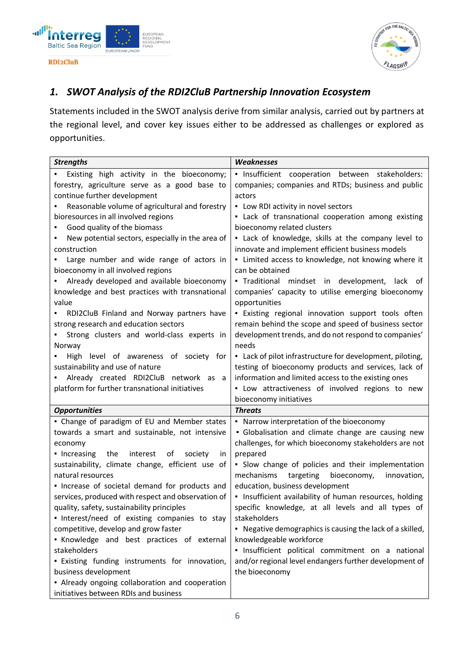



### <span id="page-5-0"></span>*1. SWOT Analysis of the RDI2CluB Partnership Innovation Ecosystem*

Statements included in the SWOT analysis derive from similar analysis, carried out by partners at the regional level, and cover key issues either to be addressed as challenges or explored as opportunities.

| <b>Strengths</b>                                       | Weaknesses                                                |
|--------------------------------------------------------|-----------------------------------------------------------|
| Existing high activity in the bioeconomy;              | · Insufficient cooperation between stakeholders:          |
| forestry, agriculture serve as a good base to          | companies; companies and RTDs; business and public        |
| continue further development                           | actors                                                    |
| Reasonable volume of agricultural and forestry         | • Low RDI activity in novel sectors                       |
| bioresources in all involved regions                   | . Lack of transnational cooperation among existing        |
| Good quality of the biomass                            | bioeconomy related clusters                               |
| New potential sectors, especially in the area of       | . Lack of knowledge, skills at the company level to       |
| construction                                           | innovate and implement efficient business models          |
| Large number and wide range of actors in               | - Limited access to knowledge, not knowing where it       |
| bioeconomy in all involved regions                     | can be obtained                                           |
| Already developed and available bioeconomy             | · Traditional mindset in development, lack of             |
| knowledge and best practices with transnational        | companies' capacity to utilise emerging bioeconomy        |
| value                                                  | opportunities                                             |
| RDI2CluB Finland and Norway partners have              | . Existing regional innovation support tools often        |
| strong research and education sectors                  | remain behind the scope and speed of business sector      |
| Strong clusters and world-class experts in             | development trends, and do not respond to companies'      |
| Norway                                                 | needs                                                     |
| High level of awareness of society for                 | • Lack of pilot infrastructure for development, piloting, |
| sustainability and use of nature                       | testing of bioeconomy products and services, lack of      |
| Already created RDI2CluB network as a                  | information and limited access to the existing ones       |
| platform for further transnational initiatives         | . Low attractiveness of involved regions to new           |
|                                                        | bioeconomy initiatives                                    |
| <b>Opportunities</b>                                   | <b>Threats</b>                                            |
| • Change of paradigm of EU and Member states           | • Narrow interpretation of the bioeconomy                 |
| towards a smart and sustainable, not intensive         | • Globalisation and climate change are causing new        |
| economy                                                | challenges, for which bioeconomy stakeholders are not     |
| the<br>• Increasing<br>interest<br>of<br>society<br>in | prepared                                                  |
| sustainability, climate change, efficient use of       | • Slow change of policies and their implementation        |
| natural resources                                      | mechanisms<br>targeting<br>bioeconomy,<br>innovation,     |
| · Increase of societal demand for products and         | education, business development                           |
| services, produced with respect and observation of     | · Insufficient availability of human resources, holding   |
| quality, safety, sustainability principles             | specific knowledge, at all levels and all types of        |
| . Interest/need of existing companies to stay          | stakeholders                                              |
| competitive, develop and grow faster                   | • Negative demographics is causing the lack of a skilled, |
| . Knowledge and best practices of external             | knowledgeable workforce                                   |
| stakeholders                                           | · Insufficient political commitment on a national         |
| . Existing funding instruments for innovation,         | and/or regional level endangers further development of    |
| business development                                   | the bioeconomy                                            |
| • Already ongoing collaboration and cooperation        |                                                           |
| initiatives between RDIs and business                  |                                                           |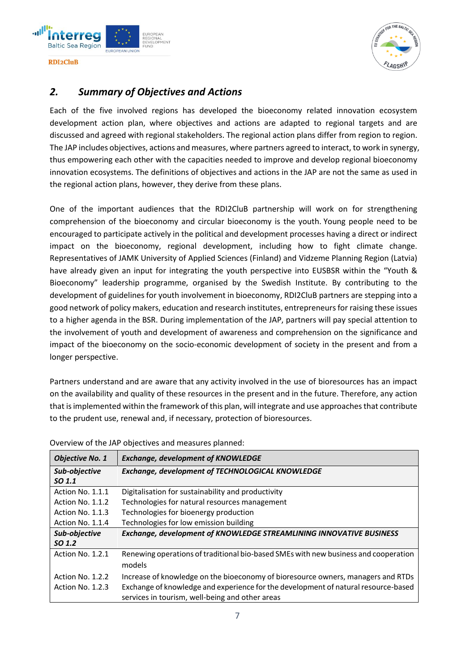



### <span id="page-6-0"></span>*2. Summary of Objectives and Actions*

Each of the five involved regions has developed the bioeconomy related innovation ecosystem development action plan, where objectives and actions are adapted to regional targets and are discussed and agreed with regional stakeholders. The regional action plans differ from region to region. The JAP includes objectives, actions and measures, where partners agreed to interact, to work in synergy, thus empowering each other with the capacities needed to improve and develop regional bioeconomy innovation ecosystems. The definitions of objectives and actions in the JAP are not the same as used in the regional action plans, however, they derive from these plans.

One of the important audiences that the RDI2CluB partnership will work on for strengthening comprehension of the bioeconomy and circular bioeconomy is the youth. Young people need to be encouraged to participate actively in the political and development processes having a direct or indirect impact on the bioeconomy, regional development, including how to fight climate change. Representatives of JAMK University of Applied Sciences (Finland) and Vidzeme Planning Region (Latvia) have already given an input for integrating the youth perspective into EUSBSR within the "Youth & Bioeconomy" leadership programme, organised by the Swedish Institute. By contributing to the development of guidelines for youth involvement in bioeconomy, RDI2CluB partners are stepping into a good network of policy makers, education and research institutes, entrepreneurs for raising these issues to a higher agenda in the BSR. During implementation of the JAP, partners will pay special attention to the involvement of youth and development of awareness and comprehension on the significance and impact of the bioeconomy on the socio-economic development of society in the present and from a longer perspective.

Partners understand and are aware that any activity involved in the use of bioresources has an impact on the availability and quality of these resources in the present and in the future. Therefore, any action that is implemented within the framework of this plan, will integrate and use approaches that contribute to the prudent use, renewal and, if necessary, protection of bioresources.

| <b>Objective No. 1</b> | <b>Exchange, development of KNOWLEDGE</b>                                           |
|------------------------|-------------------------------------------------------------------------------------|
| Sub-objective          | <b>Exchange, development of TECHNOLOGICAL KNOWLEDGE</b>                             |
| SO <sub>1.1</sub>      |                                                                                     |
| Action No. 1.1.1       | Digitalisation for sustainability and productivity                                  |
| Action No. 1.1.2       | Technologies for natural resources management                                       |
| Action No. 1.1.3       | Technologies for bioenergy production                                               |
| Action No. 1.1.4       | Technologies for low emission building                                              |
| Sub-objective          | <b>Exchange, development of KNOWLEDGE STREAMLINING INNOVATIVE BUSINESS</b>          |
| SO <sub>1.2</sub>      |                                                                                     |
| Action No. 1.2.1       | Renewing operations of traditional bio-based SMEs with new business and cooperation |
|                        | models                                                                              |
| Action No. 1.2.2       | Increase of knowledge on the bioeconomy of bioresource owners, managers and RTDs    |
| Action No. 1.2.3       | Exchange of knowledge and experience for the development of natural resource-based  |
|                        | services in tourism, well-being and other areas                                     |

Overview of the JAP objectives and measures planned: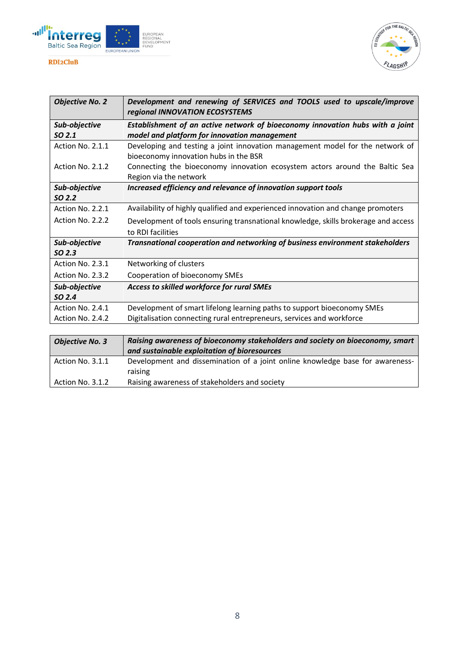



| <b>Objective No. 2</b> | Development and renewing of SERVICES and TOOLS used to upscale/improve<br>regional INNOVATION ECOSYSTEMS |
|------------------------|----------------------------------------------------------------------------------------------------------|
| Sub-objective          | Establishment of an active network of bioeconomy innovation hubs with a joint                            |
| SO 2.1                 | model and platform for innovation management                                                             |
| Action No. 2.1.1       | Developing and testing a joint innovation management model for the network of                            |
|                        | bioeconomy innovation hubs in the BSR                                                                    |
| Action No. 2.1.2       | Connecting the bioeconomy innovation ecosystem actors around the Baltic Sea                              |
|                        | Region via the network                                                                                   |
| Sub-objective          | Increased efficiency and relevance of innovation support tools                                           |
| SO 2.2                 |                                                                                                          |
| Action No. 2.2.1       | Availability of highly qualified and experienced innovation and change promoters                         |
| Action No. 2.2.2       | Development of tools ensuring transnational knowledge, skills brokerage and access                       |
|                        | to RDI facilities                                                                                        |
| Sub-objective          | <b>Transnational cooperation and networking of business environment stakeholders</b>                     |
| SO <sub>2.3</sub>      |                                                                                                          |
| Action No. 2.3.1       | Networking of clusters                                                                                   |
| Action No. 2.3.2       | Cooperation of bioeconomy SMEs                                                                           |
| Sub-objective          | Access to skilled workforce for rural SMEs                                                               |
| SO <sub>2.4</sub>      |                                                                                                          |
| Action No. 2.4.1       | Development of smart lifelong learning paths to support bioeconomy SMEs                                  |
| Action No. 2.4.2       | Digitalisation connecting rural entrepreneurs, services and workforce                                    |

| <b>Objective No. 3</b> | Raising awareness of bioeconomy stakeholders and society on bioeconomy, smart            |
|------------------------|------------------------------------------------------------------------------------------|
|                        | and sustainable exploitation of bioresources                                             |
| Action No. 3.1.1       | Development and dissemination of a joint online knowledge base for awareness-<br>raising |
| Action No. 3.1.2       | Raising awareness of stakeholders and society                                            |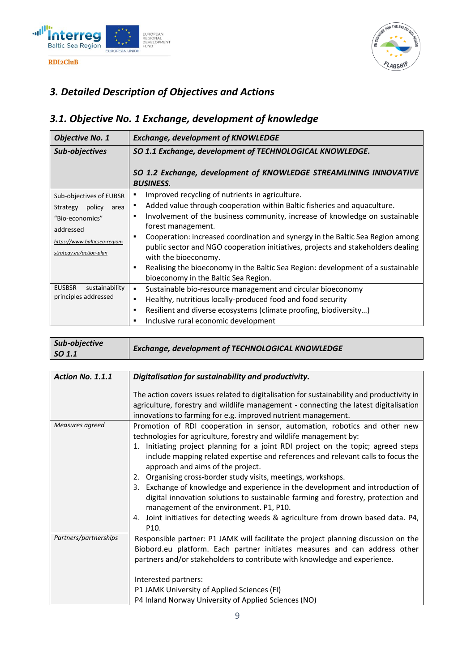



# <span id="page-8-0"></span>*3. Detailed Description of Objectives and Actions*

# <span id="page-8-1"></span>*3.1. Objective No. 1 Exchange, development of knowledge*

| <b>Objective No. 1</b>                                                                                                                            | <b>Exchange, development of KNOWLEDGE</b>                                                                                                                                                                                                                                                                                                                                                                                                                                                                                                                                          |
|---------------------------------------------------------------------------------------------------------------------------------------------------|------------------------------------------------------------------------------------------------------------------------------------------------------------------------------------------------------------------------------------------------------------------------------------------------------------------------------------------------------------------------------------------------------------------------------------------------------------------------------------------------------------------------------------------------------------------------------------|
| Sub-objectives                                                                                                                                    | SO 1.1 Exchange, development of TECHNOLOGICAL KNOWLEDGE.<br>SO 1.2 Exchange, development of KNOWLEDGE STREAMLINING INNOVATIVE                                                                                                                                                                                                                                                                                                                                                                                                                                                      |
|                                                                                                                                                   | <b>BUSINESS.</b>                                                                                                                                                                                                                                                                                                                                                                                                                                                                                                                                                                   |
| Sub-objectives of EUBSR<br>policy<br>Strategy<br>area<br>"Bio-economics"<br>addressed<br>https://www.balticsea-region-<br>strategy.eu/action-plan | Improved recycling of nutrients in agriculture.<br>٠<br>Added value through cooperation within Baltic fisheries and aquaculture.<br>٠<br>Involvement of the business community, increase of knowledge on sustainable<br>٠<br>forest management.<br>Cooperation: increased coordination and synergy in the Baltic Sea Region among<br>٠<br>public sector and NGO cooperation initiatives, projects and stakeholders dealing<br>with the bioeconomy.<br>Realising the bioeconomy in the Baltic Sea Region: development of a sustainable<br>п<br>bioeconomy in the Baltic Sea Region. |
| <b>EUSBSR</b><br>sustainability<br>principles addressed                                                                                           | Sustainable bio-resource management and circular bioeconomy<br>٠<br>Healthy, nutritious locally-produced food and food security<br>٠<br>Resilient and diverse ecosystems (climate proofing, biodiversity)<br>٠<br>Inclusive rural economic development<br>٠                                                                                                                                                                                                                                                                                                                        |

| Sub-objective | <b>Exchange, development of TECHNOLOGICAL KNOWLEDGE</b> |
|---------------|---------------------------------------------------------|
| SO 1.1        |                                                         |

| <b>Action No. 1.1.1</b> | Digitalisation for sustainability and productivity.                                                                                                                                                                                                                                                                                                                                                                                                                                                                                                                                                                                                                                                                                           |
|-------------------------|-----------------------------------------------------------------------------------------------------------------------------------------------------------------------------------------------------------------------------------------------------------------------------------------------------------------------------------------------------------------------------------------------------------------------------------------------------------------------------------------------------------------------------------------------------------------------------------------------------------------------------------------------------------------------------------------------------------------------------------------------|
|                         | The action covers issues related to digitalisation for sustainability and productivity in<br>agriculture, forestry and wildlife management - connecting the latest digitalisation<br>innovations to farming for e.g. improved nutrient management.                                                                                                                                                                                                                                                                                                                                                                                                                                                                                            |
| Measures agreed         | Promotion of RDI cooperation in sensor, automation, robotics and other new<br>technologies for agriculture, forestry and wildlife management by:<br>1. Initiating project planning for a joint RDI project on the topic; agreed steps<br>include mapping related expertise and references and relevant calls to focus the<br>approach and aims of the project.<br>2. Organising cross-border study visits, meetings, workshops.<br>3. Exchange of knowledge and experience in the development and introduction of<br>digital innovation solutions to sustainable farming and forestry, protection and<br>management of the environment. P1, P10.<br>4. Joint initiatives for detecting weeds & agriculture from drown based data. P4,<br>P10. |
| Partners/partnerships   | Responsible partner: P1 JAMK will facilitate the project planning discussion on the<br>Biobord.eu platform. Each partner initiates measures and can address other<br>partners and/or stakeholders to contribute with knowledge and experience.<br>Interested partners:<br>P1 JAMK University of Applied Sciences (FI)<br>P4 Inland Norway University of Applied Sciences (NO)                                                                                                                                                                                                                                                                                                                                                                 |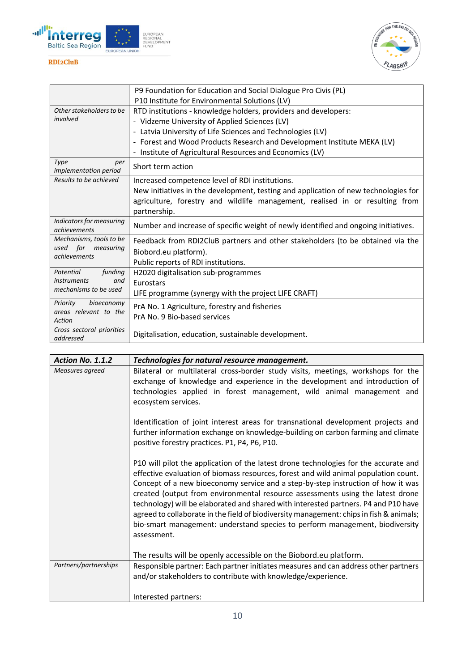



|                                                    | P9 Foundation for Education and Social Dialogue Pro Civis (PL)                      |
|----------------------------------------------------|-------------------------------------------------------------------------------------|
|                                                    | P10 Institute for Environmental Solutions (LV)                                      |
| Other stakeholders to be                           | RTD institutions - knowledge holders, providers and developers:                     |
| involved                                           | - Vidzeme University of Applied Sciences (LV)                                       |
|                                                    | - Latvia University of Life Sciences and Technologies (LV)                          |
|                                                    | - Forest and Wood Products Research and Development Institute MEKA (LV)             |
|                                                    | - Institute of Agricultural Resources and Economics (LV)                            |
| Type<br>per<br>implementation period               | Short term action                                                                   |
| Results to be achieved                             | Increased competence level of RDI institutions.                                     |
|                                                    | New initiatives in the development, testing and application of new technologies for |
|                                                    | agriculture, forestry and wildlife management, realised in or resulting from        |
|                                                    | partnership.                                                                        |
| Indicators for measuring<br>achievements           | Number and increase of specific weight of newly identified and ongoing initiatives. |
| Mechanisms, tools to be                            | Feedback from RDI2CluB partners and other stakeholders (to be obtained via the      |
| used for measuring                                 | Biobord.eu platform).                                                               |
| achievements                                       | Public reports of RDI institutions.                                                 |
| Potential<br>funding                               | H2020 digitalisation sub-programmes                                                 |
| <i>instruments</i><br>and<br>mechanisms to be used | Eurostars                                                                           |
|                                                    | LIFE programme (synergy with the project LIFE CRAFT)                                |
| Priority<br>bioeconomy<br>areas relevant to the    | PrA No. 1 Agriculture, forestry and fisheries                                       |
|                                                    | PrA No. 9 Bio-based services                                                        |
| Action                                             |                                                                                     |
| Cross sectoral priorities<br>addressed             | Digitalisation, education, sustainable development.                                 |

| <b>Action No. 1.1.2</b> | Technologies for natural resource management.                                                                                                                                                                                                                                                                                                                                                                                                                                                                                                                                                                                      |
|-------------------------|------------------------------------------------------------------------------------------------------------------------------------------------------------------------------------------------------------------------------------------------------------------------------------------------------------------------------------------------------------------------------------------------------------------------------------------------------------------------------------------------------------------------------------------------------------------------------------------------------------------------------------|
| Measures agreed         | Bilateral or multilateral cross-border study visits, meetings, workshops for the<br>exchange of knowledge and experience in the development and introduction of<br>technologies applied in forest management, wild animal management and<br>ecosystem services.                                                                                                                                                                                                                                                                                                                                                                    |
|                         | Identification of joint interest areas for transnational development projects and<br>further information exchange on knowledge-building on carbon farming and climate<br>positive forestry practices. P1, P4, P6, P10.                                                                                                                                                                                                                                                                                                                                                                                                             |
|                         | P10 will pilot the application of the latest drone technologies for the accurate and<br>effective evaluation of biomass resources, forest and wild animal population count.<br>Concept of a new bioeconomy service and a step-by-step instruction of how it was<br>created (output from environmental resource assessments using the latest drone<br>technology) will be elaborated and shared with interested partners. P4 and P10 have<br>agreed to collaborate in the field of biodiversity management: chips in fish & animals;<br>bio-smart management: understand species to perform management, biodiversity<br>assessment. |
|                         | The results will be openly accessible on the Biobord.eu platform.                                                                                                                                                                                                                                                                                                                                                                                                                                                                                                                                                                  |
| Partners/partnerships   | Responsible partner: Each partner initiates measures and can address other partners<br>and/or stakeholders to contribute with knowledge/experience.                                                                                                                                                                                                                                                                                                                                                                                                                                                                                |
|                         | Interested partners:                                                                                                                                                                                                                                                                                                                                                                                                                                                                                                                                                                                                               |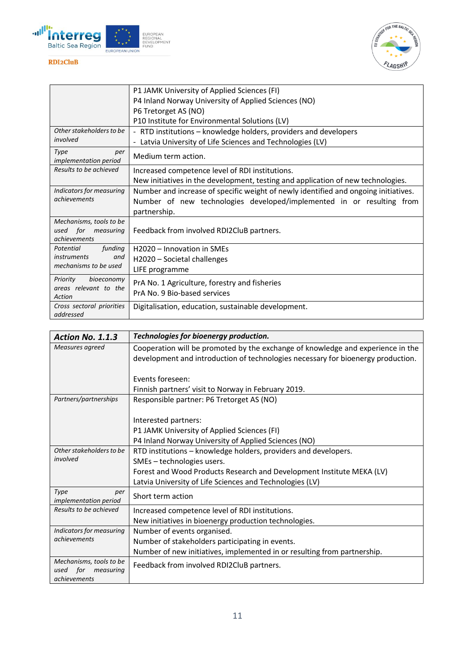



|                                                 | P1 JAMK University of Applied Sciences (FI)                                         |
|-------------------------------------------------|-------------------------------------------------------------------------------------|
|                                                 | P4 Inland Norway University of Applied Sciences (NO)                                |
|                                                 | P6 Tretorget AS (NO)                                                                |
|                                                 | P10 Institute for Environmental Solutions (LV)                                      |
| Other stakeholders to be                        | - RTD institutions – knowledge holders, providers and developers                    |
| involved                                        | - Latvia University of Life Sciences and Technologies (LV)                          |
| Type<br>per<br><i>implementation period</i>     | Medium term action.                                                                 |
| Results to be achieved                          | Increased competence level of RDI institutions.                                     |
|                                                 | New initiatives in the development, testing and application of new technologies.    |
| Indicators for measuring                        | Number and increase of specific weight of newly identified and ongoing initiatives. |
| achievements                                    | Number of new technologies developed/implemented in or resulting from               |
|                                                 | partnership.                                                                        |
| Mechanisms, tools to be                         |                                                                                     |
| used for measuring                              | Feedback from involved RDI2CluB partners.                                           |
| achievements<br>Potential<br>funding            | H2020 - Innovation in SMEs                                                          |
| <i>instruments</i><br>and                       |                                                                                     |
| mechanisms to be used                           | H2020 – Societal challenges                                                         |
|                                                 | LIFE programme                                                                      |
| Priority<br>bioeconomy<br>areas relevant to the | PrA No. 1 Agriculture, forestry and fisheries                                       |
| Action                                          | PrA No. 9 Bio-based services                                                        |
| Cross sectoral priorities                       | Digitalisation, education, sustainable development.                                 |
| addressed                                       |                                                                                     |

| Action No. 1.1.3                      | Technologies for bioenergy production.                                           |
|---------------------------------------|----------------------------------------------------------------------------------|
| Measures agreed                       | Cooperation will be promoted by the exchange of knowledge and experience in the  |
|                                       | development and introduction of technologies necessary for bioenergy production. |
|                                       |                                                                                  |
|                                       | Events foreseen:                                                                 |
|                                       | Finnish partners' visit to Norway in February 2019.                              |
| Partners/partnerships                 | Responsible partner: P6 Tretorget AS (NO)                                        |
|                                       |                                                                                  |
|                                       | Interested partners:                                                             |
|                                       | P1 JAMK University of Applied Sciences (FI)                                      |
|                                       | P4 Inland Norway University of Applied Sciences (NO)                             |
| Other stakeholders to be              | RTD institutions - knowledge holders, providers and developers.                  |
| involved                              | SMEs - technologies users.                                                       |
|                                       | Forest and Wood Products Research and Development Institute MEKA (LV)            |
|                                       | Latvia University of Life Sciences and Technologies (LV)                         |
| Type<br>per                           | Short term action                                                                |
| implementation period                 |                                                                                  |
| Results to be achieved                | Increased competence level of RDI institutions.                                  |
|                                       | New initiatives in bioenergy production technologies.                            |
| Indicators for measuring              | Number of events organised.                                                      |
| achievements                          | Number of stakeholders participating in events.                                  |
|                                       | Number of new initiatives, implemented in or resulting from partnership.         |
| Mechanisms, tools to be               | Feedback from involved RDI2CluB partners.                                        |
| used for<br>measuring<br>achievements |                                                                                  |
|                                       |                                                                                  |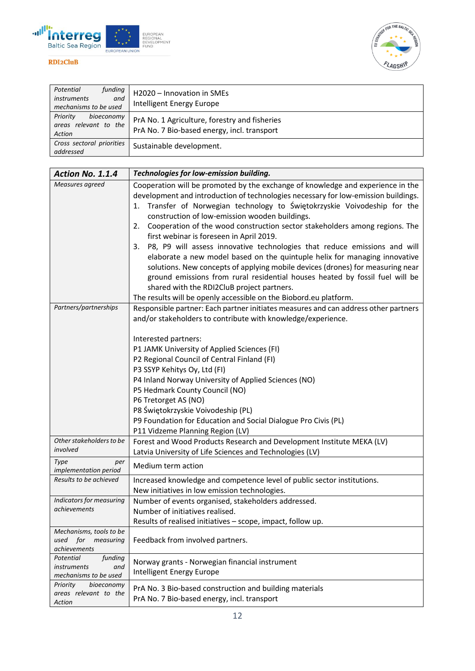



| funding<br>Potential<br><i>instruments</i><br>and<br>mechanisms to be used | H2020 - Innovation in SMEs<br>Intelligent Energy Europe                                      |
|----------------------------------------------------------------------------|----------------------------------------------------------------------------------------------|
| Priority<br>bioeconomy<br>areas relevant to the<br>Action                  | PrA No. 1 Agriculture, forestry and fisheries<br>PrA No. 7 Bio-based energy, incl. transport |
| Cross sectoral priorities<br>addressed                                     | Sustainable development.                                                                     |

| Action No. 1.1.4                                                    | Technologies for low-emission building.                                                                                                                                                                                                                                                                                                                                                                                                                                                                                                                                                                                                                                                                                                                                                                                                                                                        |
|---------------------------------------------------------------------|------------------------------------------------------------------------------------------------------------------------------------------------------------------------------------------------------------------------------------------------------------------------------------------------------------------------------------------------------------------------------------------------------------------------------------------------------------------------------------------------------------------------------------------------------------------------------------------------------------------------------------------------------------------------------------------------------------------------------------------------------------------------------------------------------------------------------------------------------------------------------------------------|
| Measures agreed                                                     | Cooperation will be promoted by the exchange of knowledge and experience in the<br>development and introduction of technologies necessary for low-emission buildings.<br>Transfer of Norwegian technology to Świętokrzyskie Voivodeship for the<br>1.<br>construction of low-emission wooden buildings.<br>Cooperation of the wood construction sector stakeholders among regions. The<br>2.<br>first webinar is foreseen in April 2019.<br>P8, P9 will assess innovative technologies that reduce emissions and will<br>3.<br>elaborate a new model based on the quintuple helix for managing innovative<br>solutions. New concepts of applying mobile devices (drones) for measuring near<br>ground emissions from rural residential houses heated by fossil fuel will be<br>shared with the RDI2CluB project partners.<br>The results will be openly accessible on the Biobord.eu platform. |
| Partners/partnerships                                               | Responsible partner: Each partner initiates measures and can address other partners<br>and/or stakeholders to contribute with knowledge/experience.                                                                                                                                                                                                                                                                                                                                                                                                                                                                                                                                                                                                                                                                                                                                            |
| Other stakeholders to be                                            | Interested partners:<br>P1 JAMK University of Applied Sciences (FI)<br>P2 Regional Council of Central Finland (FI)<br>P3 SSYP Kehitys Oy, Ltd (FI)<br>P4 Inland Norway University of Applied Sciences (NO)<br>P5 Hedmark County Council (NO)<br>P6 Tretorget AS (NO)<br>P8 Świętokrzyskie Voivodeship (PL)<br>P9 Foundation for Education and Social Dialogue Pro Civis (PL)<br>P11 Vidzeme Planning Region (LV)                                                                                                                                                                                                                                                                                                                                                                                                                                                                               |
| involved<br>Type<br>per                                             | Forest and Wood Products Research and Development Institute MEKA (LV)<br>Latvia University of Life Sciences and Technologies (LV)                                                                                                                                                                                                                                                                                                                                                                                                                                                                                                                                                                                                                                                                                                                                                              |
| implementation period                                               | Medium term action                                                                                                                                                                                                                                                                                                                                                                                                                                                                                                                                                                                                                                                                                                                                                                                                                                                                             |
| Results to be achieved                                              | Increased knowledge and competence level of public sector institutions.<br>New initiatives in low emission technologies.                                                                                                                                                                                                                                                                                                                                                                                                                                                                                                                                                                                                                                                                                                                                                                       |
| Indicators for measuring<br>achievements                            | Number of events organised, stakeholders addressed.<br>Number of initiatives realised.<br>Results of realised initiatives - scope, impact, follow up.                                                                                                                                                                                                                                                                                                                                                                                                                                                                                                                                                                                                                                                                                                                                          |
| Mechanisms, tools to be<br>for<br>measuring<br>used<br>achievements | Feedback from involved partners.                                                                                                                                                                                                                                                                                                                                                                                                                                                                                                                                                                                                                                                                                                                                                                                                                                                               |
| Potential<br>funding<br>instruments<br>and<br>mechanisms to be used | Norway grants - Norwegian financial instrument<br>Intelligent Energy Europe                                                                                                                                                                                                                                                                                                                                                                                                                                                                                                                                                                                                                                                                                                                                                                                                                    |
| Priority<br>bioeconomy<br>areas relevant to the<br>Action           | PrA No. 3 Bio-based construction and building materials<br>PrA No. 7 Bio-based energy, incl. transport                                                                                                                                                                                                                                                                                                                                                                                                                                                                                                                                                                                                                                                                                                                                                                                         |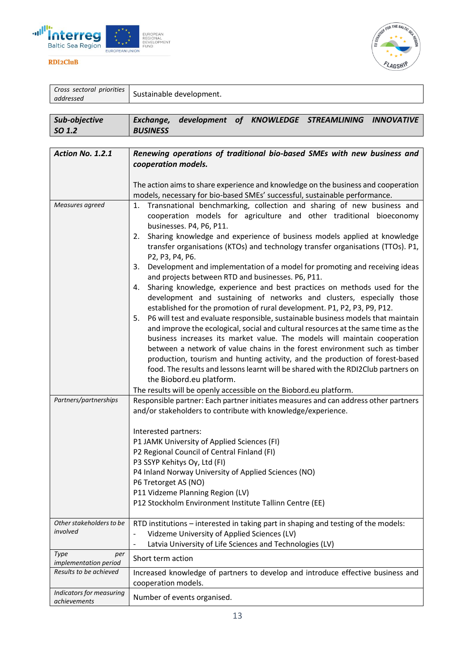



| Cross sectoral priorities<br>addressed | Sustainable development.                                                                                                                                                                                                                                                                                                                                                                                                                                                                                                                                                                                                                                                                                                                                                                                                                                                                                                                                                                                                                                                                                                                                                                                                                                                                                                                                                          |
|----------------------------------------|-----------------------------------------------------------------------------------------------------------------------------------------------------------------------------------------------------------------------------------------------------------------------------------------------------------------------------------------------------------------------------------------------------------------------------------------------------------------------------------------------------------------------------------------------------------------------------------------------------------------------------------------------------------------------------------------------------------------------------------------------------------------------------------------------------------------------------------------------------------------------------------------------------------------------------------------------------------------------------------------------------------------------------------------------------------------------------------------------------------------------------------------------------------------------------------------------------------------------------------------------------------------------------------------------------------------------------------------------------------------------------------|
| Sub-objective<br>SO 1.2                | development of KNOWLEDGE STREAMLINING INNOVATIVE<br>Exchange,<br><b>BUSINESS</b>                                                                                                                                                                                                                                                                                                                                                                                                                                                                                                                                                                                                                                                                                                                                                                                                                                                                                                                                                                                                                                                                                                                                                                                                                                                                                                  |
| Action No. 1.2.1                       | Renewing operations of traditional bio-based SMEs with new business and<br>cooperation models.<br>The action aims to share experience and knowledge on the business and cooperation                                                                                                                                                                                                                                                                                                                                                                                                                                                                                                                                                                                                                                                                                                                                                                                                                                                                                                                                                                                                                                                                                                                                                                                               |
| Measures agreed                        | models, necessary for bio-based SMEs' successful, sustainable performance.<br>Transnational benchmarking, collection and sharing of new business and<br>1.<br>cooperation models for agriculture and other traditional bioeconomy<br>businesses. P4, P6, P11.<br>Sharing knowledge and experience of business models applied at knowledge<br>2.<br>transfer organisations (KTOs) and technology transfer organisations (TTOs). P1,<br>P2, P3, P4, P6.<br>Development and implementation of a model for promoting and receiving ideas<br>3.<br>and projects between RTD and businesses. P6, P11.<br>Sharing knowledge, experience and best practices on methods used for the<br>4.<br>development and sustaining of networks and clusters, especially those<br>established for the promotion of rural development. P1, P2, P3, P9, P12.<br>P6 will test and evaluate responsible, sustainable business models that maintain<br>5.<br>and improve the ecological, social and cultural resources at the same time as the<br>business increases its market value. The models will maintain cooperation<br>between a network of value chains in the forest environment such as timber<br>production, tourism and hunting activity, and the production of forest-based<br>food. The results and lessons learnt will be shared with the RDI2Club partners on<br>the Biobord.eu platform. |

|                       | The results will be openly accessible on the Biobord.eu platform.                   |
|-----------------------|-------------------------------------------------------------------------------------|
| Partners/partnerships | Responsible partner: Each partner initiates measures and can address other partners |

|                                                 | and/or stakeholders to contribute with knowledge/experience.                                                                                                                                                                                                                                                                      |
|-------------------------------------------------|-----------------------------------------------------------------------------------------------------------------------------------------------------------------------------------------------------------------------------------------------------------------------------------------------------------------------------------|
|                                                 | Interested partners:<br>P1 JAMK University of Applied Sciences (FI)<br>P2 Regional Council of Central Finland (FI)<br>P3 SSYP Kehitys Oy, Ltd (FI)<br>P4 Inland Norway University of Applied Sciences (NO)<br>P6 Tretorget AS (NO)<br>P11 Vidzeme Planning Region (LV)<br>P12 Stockholm Environment Institute Tallinn Centre (EE) |
| Other stakeholders to be<br>involved            | RTD institutions – interested in taking part in shaping and testing of the models:<br>Vidzeme University of Applied Sciences (LV)<br>Latvia University of Life Sciences and Technologies (LV)<br>$\overline{\phantom{a}}$                                                                                                         |
| Type<br>per<br><i>implementation period</i>     | Short term action                                                                                                                                                                                                                                                                                                                 |
| Results to be achieved                          | Increased knowledge of partners to develop and introduce effective business and<br>cooperation models.                                                                                                                                                                                                                            |
| Indicators for measuring<br><i>achievements</i> | Number of events organised.                                                                                                                                                                                                                                                                                                       |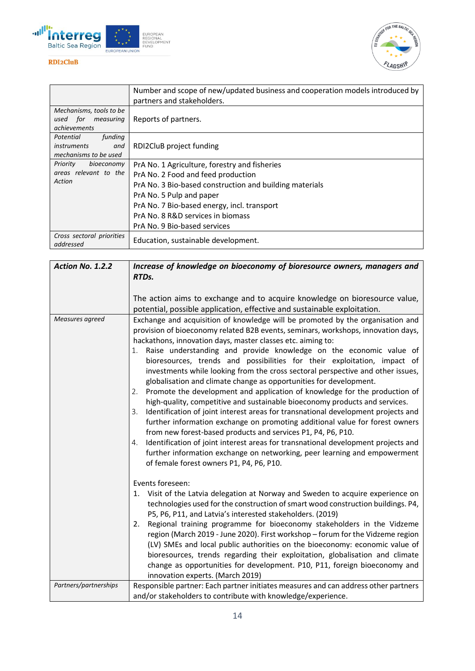



|                                                                            | Number and scope of new/updated business and cooperation models introduced by<br>partners and stakeholders.                                                                                                                                                                                    |
|----------------------------------------------------------------------------|------------------------------------------------------------------------------------------------------------------------------------------------------------------------------------------------------------------------------------------------------------------------------------------------|
| Mechanisms, tools to be<br>used for measuring<br>achievements              | Reports of partners.                                                                                                                                                                                                                                                                           |
| funding<br>Potential<br><i>instruments</i><br>and<br>mechanisms to be used | RDI2CluB project funding                                                                                                                                                                                                                                                                       |
| bioeconomy<br>Priority<br>areas relevant to the<br>Action                  | PrA No. 1 Agriculture, forestry and fisheries<br>PrA No. 2 Food and feed production<br>PrA No. 3 Bio-based construction and building materials<br>PrA No. 5 Pulp and paper<br>PrA No. 7 Bio-based energy, incl. transport<br>PrA No. 8 R&D services in biomass<br>PrA No. 9 Bio-based services |
| Cross sectoral priorities<br>addressed                                     | Education, sustainable development.                                                                                                                                                                                                                                                            |

| Action No. 1.2.2      | Increase of knowledge on bioeconomy of bioresource owners, managers and<br>RTDs.                                                                                                                                                                                                                                                                                                                                                                                                                                                                                                                                                                                                                                                                                                                                                                                                                                                                                                                                                                                                                                                                                                |
|-----------------------|---------------------------------------------------------------------------------------------------------------------------------------------------------------------------------------------------------------------------------------------------------------------------------------------------------------------------------------------------------------------------------------------------------------------------------------------------------------------------------------------------------------------------------------------------------------------------------------------------------------------------------------------------------------------------------------------------------------------------------------------------------------------------------------------------------------------------------------------------------------------------------------------------------------------------------------------------------------------------------------------------------------------------------------------------------------------------------------------------------------------------------------------------------------------------------|
|                       | The action aims to exchange and to acquire knowledge on bioresource value,<br>potential, possible application, effective and sustainable exploitation.                                                                                                                                                                                                                                                                                                                                                                                                                                                                                                                                                                                                                                                                                                                                                                                                                                                                                                                                                                                                                          |
| Measures agreed       | Exchange and acquisition of knowledge will be promoted by the organisation and<br>provision of bioeconomy related B2B events, seminars, workshops, innovation days,<br>hackathons, innovation days, master classes etc. aiming to:<br>1. Raise understanding and provide knowledge on the economic value of<br>bioresources, trends and possibilities for their exploitation, impact of<br>investments while looking from the cross sectoral perspective and other issues,<br>globalisation and climate change as opportunities for development.<br>Promote the development and application of knowledge for the production of<br>2.<br>high-quality, competitive and sustainable bioeconomy products and services.<br>Identification of joint interest areas for transnational development projects and<br>3.<br>further information exchange on promoting additional value for forest owners<br>from new forest-based products and services P1, P4, P6, P10.<br>4. Identification of joint interest areas for transnational development projects and<br>further information exchange on networking, peer learning and empowerment<br>of female forest owners P1, P4, P6, P10. |
|                       | Events foreseen:<br>1. Visit of the Latvia delegation at Norway and Sweden to acquire experience on<br>technologies used for the construction of smart wood construction buildings. P4,<br>P5, P6, P11, and Latvia's interested stakeholders. (2019)<br>Regional training programme for bioeconomy stakeholders in the Vidzeme<br>2.<br>region (March 2019 - June 2020). First workshop - forum for the Vidzeme region<br>(LV) SMEs and local public authorities on the bioeconomy: economic value of<br>bioresources, trends regarding their exploitation, globalisation and climate<br>change as opportunities for development. P10, P11, foreign bioeconomy and<br>innovation experts. (March 2019)                                                                                                                                                                                                                                                                                                                                                                                                                                                                          |
| Partners/partnerships | Responsible partner: Each partner initiates measures and can address other partners<br>and/or stakeholders to contribute with knowledge/experience.                                                                                                                                                                                                                                                                                                                                                                                                                                                                                                                                                                                                                                                                                                                                                                                                                                                                                                                                                                                                                             |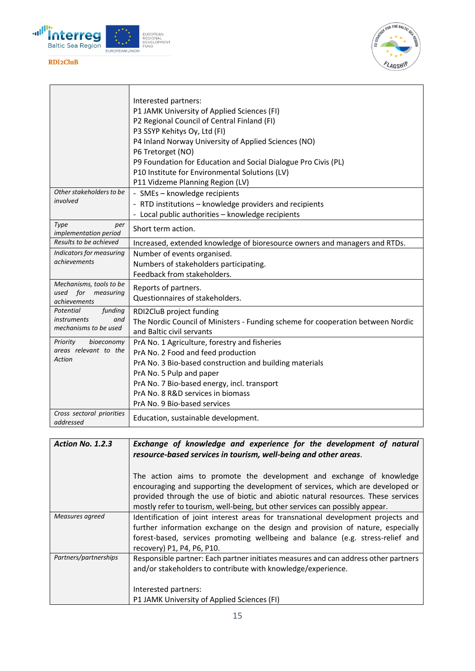



|                                             | Interested partners:                                                                                         |
|---------------------------------------------|--------------------------------------------------------------------------------------------------------------|
|                                             | P1 JAMK University of Applied Sciences (FI)                                                                  |
|                                             | P2 Regional Council of Central Finland (FI)                                                                  |
|                                             | P3 SSYP Kehitys Oy, Ltd (FI)                                                                                 |
|                                             | P4 Inland Norway University of Applied Sciences (NO)                                                         |
|                                             | P6 Tretorget (NO)                                                                                            |
|                                             | P9 Foundation for Education and Social Dialogue Pro Civis (PL)                                               |
|                                             | P10 Institute for Environmental Solutions (LV)                                                               |
|                                             | P11 Vidzeme Planning Region (LV)                                                                             |
| Other stakeholders to be                    | - SMEs - knowledge recipients                                                                                |
| involved                                    | - RTD institutions - knowledge providers and recipients                                                      |
|                                             | - Local public authorities - knowledge recipients                                                            |
| Type<br>per<br>implementation period        | Short term action.                                                                                           |
| Results to be achieved                      | Increased, extended knowledge of bioresource owners and managers and RTDs.                                   |
| Indicators for measuring                    | Number of events organised.                                                                                  |
| achievements                                | Numbers of stakeholders participating.                                                                       |
|                                             | Feedback from stakeholders.                                                                                  |
| Mechanisms, tools to be                     | Reports of partners.                                                                                         |
| used for<br>measuring                       | Questionnaires of stakeholders.                                                                              |
| <i>achievements</i><br>Potential<br>funding |                                                                                                              |
| <i>instruments</i><br>and                   | RDI2CluB project funding                                                                                     |
| mechanisms to be used                       | The Nordic Council of Ministers - Funding scheme for cooperation between Nordic<br>and Baltic civil servants |
| Priority<br>bioeconomy                      |                                                                                                              |
| areas relevant to the                       | PrA No. 1 Agriculture, forestry and fisheries                                                                |
| Action                                      | PrA No. 2 Food and feed production                                                                           |
|                                             | PrA No. 3 Bio-based construction and building materials                                                      |
|                                             | PrA No. 5 Pulp and paper                                                                                     |
|                                             | PrA No. 7 Bio-based energy, incl. transport<br>PrA No. 8 R&D services in biomass                             |
|                                             | PrA No. 9 Bio-based services                                                                                 |
| Cross sectoral priorities                   |                                                                                                              |
| addressed                                   | Education, sustainable development.                                                                          |

| Exchange of knowledge and experience for the development of natural                                                                                                                                                                                                                                                        |
|----------------------------------------------------------------------------------------------------------------------------------------------------------------------------------------------------------------------------------------------------------------------------------------------------------------------------|
| resource-based services in tourism, well-being and other areas.                                                                                                                                                                                                                                                            |
| The action aims to promote the development and exchange of knowledge<br>encouraging and supporting the development of services, which are developed or<br>provided through the use of biotic and abiotic natural resources. These services<br>mostly refer to tourism, well-being, but other services can possibly appear. |
| Identification of joint interest areas for transnational development projects and<br>further information exchange on the design and provision of nature, especially<br>forest-based, services promoting wellbeing and balance (e.g. stress-relief and<br>recovery) P1, P4, P6, P10.                                        |
| Responsible partner: Each partner initiates measures and can address other partners<br>and/or stakeholders to contribute with knowledge/experience.<br>Interested partners:<br>P1 JAMK University of Applied Sciences (FI)                                                                                                 |
|                                                                                                                                                                                                                                                                                                                            |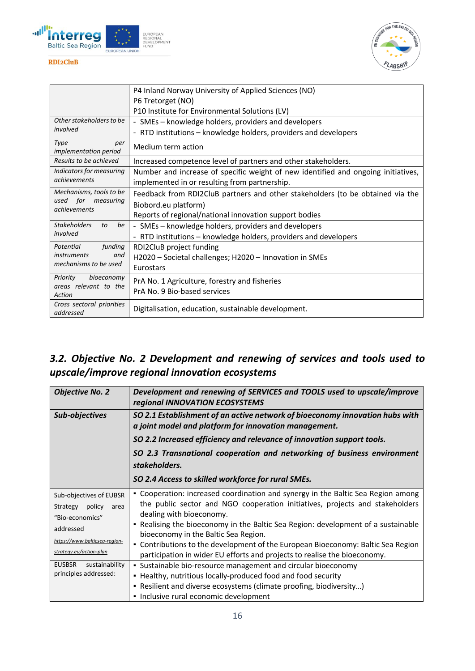



|                                                                            | P4 Inland Norway University of Applied Sciences (NO)                              |
|----------------------------------------------------------------------------|-----------------------------------------------------------------------------------|
|                                                                            | P6 Tretorget (NO)                                                                 |
|                                                                            | P10 Institute for Environmental Solutions (LV)                                    |
| Other stakeholders to be<br>involved                                       | - SMEs – knowledge holders, providers and developers                              |
|                                                                            | - RTD institutions – knowledge holders, providers and developers                  |
| Type<br>per<br>implementation period                                       | Medium term action                                                                |
| Results to be achieved                                                     | Increased competence level of partners and other stakeholders.                    |
| Indicators for measuring                                                   | Number and increase of specific weight of new identified and ongoing initiatives, |
| achievements                                                               | implemented in or resulting from partnership.                                     |
| Mechanisms, tools to be                                                    | Feedback from RDI2CluB partners and other stakeholders (to be obtained via the    |
| used for measuring                                                         | Biobord.eu platform)                                                              |
| achievements                                                               | Reports of regional/national innovation support bodies                            |
| <b>Stakeholders</b><br>be<br>to                                            | - SMEs – knowledge holders, providers and developers                              |
| involved                                                                   | - RTD institutions – knowledge holders, providers and developers                  |
| funding<br>Potential<br><i>instruments</i><br>and<br>mechanisms to be used | RDI2CluB project funding                                                          |
|                                                                            | H2020 – Societal challenges; H2020 – Innovation in SMEs                           |
|                                                                            | Eurostars                                                                         |
| Priority<br>bioeconomy                                                     | PrA No. 1 Agriculture, forestry and fisheries                                     |
| areas relevant to the                                                      | PrA No. 9 Bio-based services                                                      |
| Action                                                                     |                                                                                   |
| Cross sectoral priorities<br>addressed                                     | Digitalisation, education, sustainable development.                               |

# <span id="page-15-0"></span>*3.2. Objective No. 2 Development and renewing of services and tools used to upscale/improve regional innovation ecosystems*

| <b>Objective No. 2</b>                                                             | Development and renewing of SERVICES and TOOLS used to upscale/improve<br>regional INNOVATION ECOSYSTEMS                                                                                                                                                                          |
|------------------------------------------------------------------------------------|-----------------------------------------------------------------------------------------------------------------------------------------------------------------------------------------------------------------------------------------------------------------------------------|
| Sub-objectives                                                                     | SO 2.1 Establishment of an active network of bioeconomy innovation hubs with<br>a joint model and platform for innovation management.                                                                                                                                             |
|                                                                                    | SO 2.2 Increased efficiency and relevance of innovation support tools.                                                                                                                                                                                                            |
|                                                                                    | SO 2.3 Transnational cooperation and networking of business environment<br>stakeholders.                                                                                                                                                                                          |
|                                                                                    | SO 2.4 Access to skilled workforce for rural SMEs.                                                                                                                                                                                                                                |
| Sub-objectives of EUBSR<br>Strategy policy<br>area<br>"Bio-economics"<br>addressed | • Cooperation: increased coordination and synergy in the Baltic Sea Region among<br>the public sector and NGO cooperation initiatives, projects and stakeholders<br>dealing with bioeconomy.<br>. Realising the bioeconomy in the Baltic Sea Region: development of a sustainable |
| https://www.balticsea-region-<br>strategy.eu/action-plan                           | bioeconomy in the Baltic Sea Region.<br>• Contributions to the development of the European Bioeconomy: Baltic Sea Region<br>participation in wider EU efforts and projects to realise the bioeconomy.                                                                             |
| <b>EUSBSR</b><br>sustainability<br>principles addressed:                           | • Sustainable bio-resource management and circular bioeconomy<br>• Healthy, nutritious locally-produced food and food security<br>• Resilient and diverse ecosystems (climate proofing, biodiversity)<br>· Inclusive rural economic development                                   |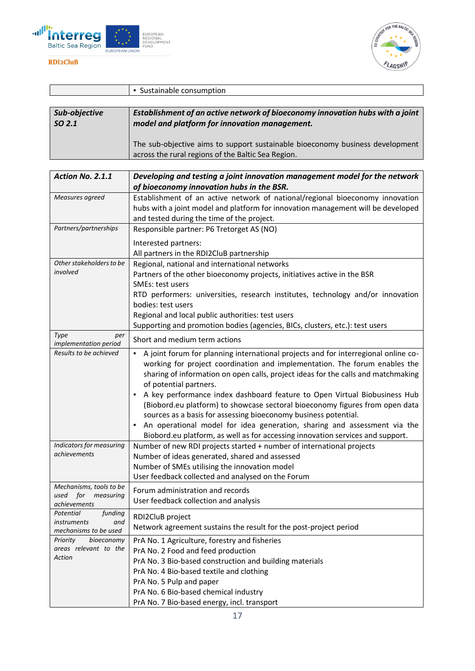



|                   | • Sustainable consumption                                                     |
|-------------------|-------------------------------------------------------------------------------|
|                   |                                                                               |
| Sub-objective     | Establishment of an active network of bioeconomy innovation hubs with a joint |
| SO <sub>2.1</sub> | model and platform for innovation management.                                 |
|                   |                                                                               |
|                   | The sub-objective aims to support sustainable bioeconomy business development |
|                   | across the rural regions of the Baltic Sea Region.                            |

| Action No. 2.1.1                                                    | Developing and testing a joint innovation management model for the network                                                                                                                                                                                                                                                                                                                                                                                                                                                                                                                                                                                                    |
|---------------------------------------------------------------------|-------------------------------------------------------------------------------------------------------------------------------------------------------------------------------------------------------------------------------------------------------------------------------------------------------------------------------------------------------------------------------------------------------------------------------------------------------------------------------------------------------------------------------------------------------------------------------------------------------------------------------------------------------------------------------|
|                                                                     | of bioeconomy innovation hubs in the BSR.                                                                                                                                                                                                                                                                                                                                                                                                                                                                                                                                                                                                                                     |
| Measures agreed                                                     | Establishment of an active network of national/regional bioeconomy innovation<br>hubs with a joint model and platform for innovation management will be developed<br>and tested during the time of the project.                                                                                                                                                                                                                                                                                                                                                                                                                                                               |
| Partners/partnerships                                               | Responsible partner: P6 Tretorget AS (NO)                                                                                                                                                                                                                                                                                                                                                                                                                                                                                                                                                                                                                                     |
|                                                                     | Interested partners:<br>All partners in the RDI2CluB partnership                                                                                                                                                                                                                                                                                                                                                                                                                                                                                                                                                                                                              |
| Other stakeholders to be<br>involved                                | Regional, national and international networks<br>Partners of the other bioeconomy projects, initiatives active in the BSR<br>SMEs: test users<br>RTD performers: universities, research institutes, technology and/or innovation<br>bodies: test users<br>Regional and local public authorities: test users                                                                                                                                                                                                                                                                                                                                                                   |
|                                                                     | Supporting and promotion bodies (agencies, BICs, clusters, etc.): test users                                                                                                                                                                                                                                                                                                                                                                                                                                                                                                                                                                                                  |
| Type<br>per<br>implementation period                                | Short and medium term actions                                                                                                                                                                                                                                                                                                                                                                                                                                                                                                                                                                                                                                                 |
| Results to be achieved                                              | A joint forum for planning international projects and for interregional online co-<br>working for project coordination and implementation. The forum enables the<br>sharing of information on open calls, project ideas for the calls and matchmaking<br>of potential partners.<br>A key performance index dashboard feature to Open Virtual Biobusiness Hub<br>(Biobord.eu platform) to showcase sectoral bioeconomy figures from open data<br>sources as a basis for assessing bioeconomy business potential.<br>An operational model for idea generation, sharing and assessment via the<br>Biobord.eu platform, as well as for accessing innovation services and support. |
| Indicators for measuring<br>achievements                            | Number of new RDI projects started + number of international projects<br>Number of ideas generated, shared and assessed<br>Number of SMEs utilising the innovation model<br>User feedback collected and analysed on the Forum                                                                                                                                                                                                                                                                                                                                                                                                                                                 |
| Mechanisms, tools to be<br>for<br>used<br>measuring<br>achievements | Forum administration and records<br>User feedback collection and analysis                                                                                                                                                                                                                                                                                                                                                                                                                                                                                                                                                                                                     |
| Potential<br>funding<br>instruments<br>and<br>mechanisms to be used | RDI2CluB project<br>Network agreement sustains the result for the post-project period                                                                                                                                                                                                                                                                                                                                                                                                                                                                                                                                                                                         |
| bioeconomy<br>Priority<br>areas relevant to the<br>Action           | PrA No. 1 Agriculture, forestry and fisheries<br>PrA No. 2 Food and feed production<br>PrA No. 3 Bio-based construction and building materials<br>PrA No. 4 Bio-based textile and clothing<br>PrA No. 5 Pulp and paper<br>PrA No. 6 Bio-based chemical industry<br>PrA No. 7 Bio-based energy, incl. transport                                                                                                                                                                                                                                                                                                                                                                |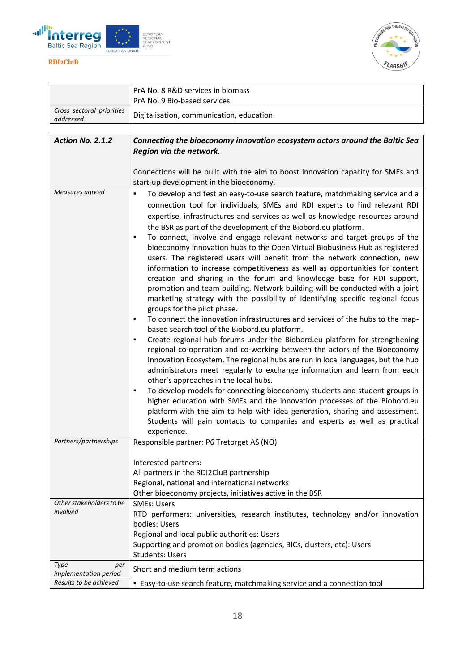



|                                        | PrA No. 8 R&D services in biomass                                                                                                                                                                                                                                                                                                                                                                                                                                                                                                                                                                                                                                                                                                                                                                                                                                                                                                                                                                                                                                                                                                                                                                                                                                                                                                                                                                                                                                                                                                                                                                                                                                                                                                                                                  |
|----------------------------------------|------------------------------------------------------------------------------------------------------------------------------------------------------------------------------------------------------------------------------------------------------------------------------------------------------------------------------------------------------------------------------------------------------------------------------------------------------------------------------------------------------------------------------------------------------------------------------------------------------------------------------------------------------------------------------------------------------------------------------------------------------------------------------------------------------------------------------------------------------------------------------------------------------------------------------------------------------------------------------------------------------------------------------------------------------------------------------------------------------------------------------------------------------------------------------------------------------------------------------------------------------------------------------------------------------------------------------------------------------------------------------------------------------------------------------------------------------------------------------------------------------------------------------------------------------------------------------------------------------------------------------------------------------------------------------------------------------------------------------------------------------------------------------------|
|                                        | PrA No. 9 Bio-based services                                                                                                                                                                                                                                                                                                                                                                                                                                                                                                                                                                                                                                                                                                                                                                                                                                                                                                                                                                                                                                                                                                                                                                                                                                                                                                                                                                                                                                                                                                                                                                                                                                                                                                                                                       |
| Cross sectoral priorities<br>addressed | Digitalisation, communication, education.                                                                                                                                                                                                                                                                                                                                                                                                                                                                                                                                                                                                                                                                                                                                                                                                                                                                                                                                                                                                                                                                                                                                                                                                                                                                                                                                                                                                                                                                                                                                                                                                                                                                                                                                          |
|                                        |                                                                                                                                                                                                                                                                                                                                                                                                                                                                                                                                                                                                                                                                                                                                                                                                                                                                                                                                                                                                                                                                                                                                                                                                                                                                                                                                                                                                                                                                                                                                                                                                                                                                                                                                                                                    |
| Action No. 2.1.2                       | Connecting the bioeconomy innovation ecosystem actors around the Baltic Sea                                                                                                                                                                                                                                                                                                                                                                                                                                                                                                                                                                                                                                                                                                                                                                                                                                                                                                                                                                                                                                                                                                                                                                                                                                                                                                                                                                                                                                                                                                                                                                                                                                                                                                        |
|                                        | Region via the network.                                                                                                                                                                                                                                                                                                                                                                                                                                                                                                                                                                                                                                                                                                                                                                                                                                                                                                                                                                                                                                                                                                                                                                                                                                                                                                                                                                                                                                                                                                                                                                                                                                                                                                                                                            |
|                                        | Connections will be built with the aim to boost innovation capacity for SMEs and<br>start-up development in the bioeconomy.                                                                                                                                                                                                                                                                                                                                                                                                                                                                                                                                                                                                                                                                                                                                                                                                                                                                                                                                                                                                                                                                                                                                                                                                                                                                                                                                                                                                                                                                                                                                                                                                                                                        |
| Measures agreed                        | To develop and test an easy-to-use search feature, matchmaking service and a<br>٠<br>connection tool for individuals, SMEs and RDI experts to find relevant RDI<br>expertise, infrastructures and services as well as knowledge resources around<br>the BSR as part of the development of the Biobord.eu platform.<br>To connect, involve and engage relevant networks and target groups of the<br>bioeconomy innovation hubs to the Open Virtual Biobusiness Hub as registered<br>users. The registered users will benefit from the network connection, new<br>information to increase competitiveness as well as opportunities for content<br>creation and sharing in the forum and knowledge base for RDI support,<br>promotion and team building. Network building will be conducted with a joint<br>marketing strategy with the possibility of identifying specific regional focus<br>groups for the pilot phase.<br>To connect the innovation infrastructures and services of the hubs to the map-<br>٠<br>based search tool of the Biobord.eu platform.<br>Create regional hub forums under the Biobord.eu platform for strengthening<br>٠<br>regional co-operation and co-working between the actors of the Bioeconomy<br>Innovation Ecosystem. The regional hubs are run in local languages, but the hub<br>administrators meet regularly to exchange information and learn from each<br>other's approaches in the local hubs.<br>To develop models for connecting bioeconomy students and student groups in<br>٠<br>higher education with SMEs and the innovation processes of the Biobord.eu<br>platform with the aim to help with idea generation, sharing and assessment.<br>Students will gain contacts to companies and experts as well as practical<br>experience. |
| Partners/partnerships                  | Responsible partner: P6 Tretorget AS (NO)                                                                                                                                                                                                                                                                                                                                                                                                                                                                                                                                                                                                                                                                                                                                                                                                                                                                                                                                                                                                                                                                                                                                                                                                                                                                                                                                                                                                                                                                                                                                                                                                                                                                                                                                          |
|                                        | Interested partners:<br>All partners in the RDI2CluB partnership<br>Regional, national and international networks<br>Other bioeconomy projects, initiatives active in the BSR                                                                                                                                                                                                                                                                                                                                                                                                                                                                                                                                                                                                                                                                                                                                                                                                                                                                                                                                                                                                                                                                                                                                                                                                                                                                                                                                                                                                                                                                                                                                                                                                      |
| Other stakeholders to be               | <b>SMEs: Users</b>                                                                                                                                                                                                                                                                                                                                                                                                                                                                                                                                                                                                                                                                                                                                                                                                                                                                                                                                                                                                                                                                                                                                                                                                                                                                                                                                                                                                                                                                                                                                                                                                                                                                                                                                                                 |
| involved                               | RTD performers: universities, research institutes, technology and/or innovation                                                                                                                                                                                                                                                                                                                                                                                                                                                                                                                                                                                                                                                                                                                                                                                                                                                                                                                                                                                                                                                                                                                                                                                                                                                                                                                                                                                                                                                                                                                                                                                                                                                                                                    |
|                                        | bodies: Users                                                                                                                                                                                                                                                                                                                                                                                                                                                                                                                                                                                                                                                                                                                                                                                                                                                                                                                                                                                                                                                                                                                                                                                                                                                                                                                                                                                                                                                                                                                                                                                                                                                                                                                                                                      |
|                                        | Regional and local public authorities: Users<br>Supporting and promotion bodies (agencies, BICs, clusters, etc): Users                                                                                                                                                                                                                                                                                                                                                                                                                                                                                                                                                                                                                                                                                                                                                                                                                                                                                                                                                                                                                                                                                                                                                                                                                                                                                                                                                                                                                                                                                                                                                                                                                                                             |
|                                        | <b>Students: Users</b>                                                                                                                                                                                                                                                                                                                                                                                                                                                                                                                                                                                                                                                                                                                                                                                                                                                                                                                                                                                                                                                                                                                                                                                                                                                                                                                                                                                                                                                                                                                                                                                                                                                                                                                                                             |
| Type<br>per<br>implementation period   | Short and medium term actions                                                                                                                                                                                                                                                                                                                                                                                                                                                                                                                                                                                                                                                                                                                                                                                                                                                                                                                                                                                                                                                                                                                                                                                                                                                                                                                                                                                                                                                                                                                                                                                                                                                                                                                                                      |
| Results to be achieved                 | • Easy-to-use search feature, matchmaking service and a connection tool                                                                                                                                                                                                                                                                                                                                                                                                                                                                                                                                                                                                                                                                                                                                                                                                                                                                                                                                                                                                                                                                                                                                                                                                                                                                                                                                                                                                                                                                                                                                                                                                                                                                                                            |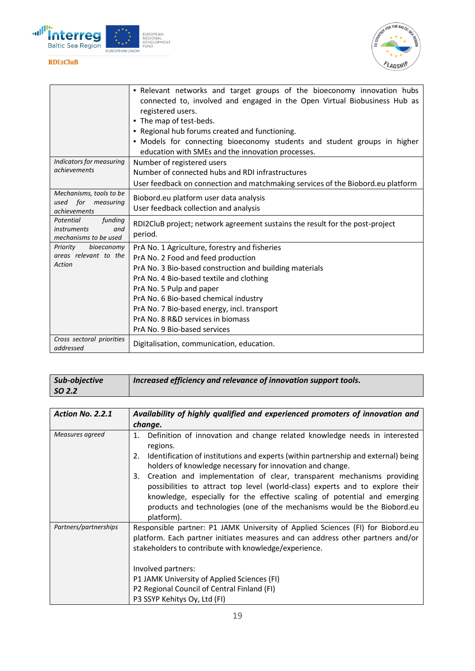



|                                                                            | - Relevant networks and target groups of the bioeconomy innovation hubs<br>connected to, involved and engaged in the Open Virtual Biobusiness Hub as<br>registered users.<br>• The map of test-beds.<br>. Regional hub forums created and functioning.<br>. Models for connecting bioeconomy students and student groups in higher<br>education with SMEs and the innovation processes. |
|----------------------------------------------------------------------------|-----------------------------------------------------------------------------------------------------------------------------------------------------------------------------------------------------------------------------------------------------------------------------------------------------------------------------------------------------------------------------------------|
| Indicators for measuring<br>achievements                                   | Number of registered users<br>Number of connected hubs and RDI infrastructures<br>User feedback on connection and matchmaking services of the Biobord.eu platform                                                                                                                                                                                                                       |
| Mechanisms, tools to be<br>used for measuring<br><i>achievements</i>       | Biobord.eu platform user data analysis<br>User feedback collection and analysis                                                                                                                                                                                                                                                                                                         |
| funding<br>Potential<br><i>instruments</i><br>and<br>mechanisms to be used | RDI2CluB project; network agreement sustains the result for the post-project<br>period.                                                                                                                                                                                                                                                                                                 |
| Priority<br>bioeconomy<br>areas relevant to the<br>Action                  | PrA No. 1 Agriculture, forestry and fisheries<br>PrA No. 2 Food and feed production<br>PrA No. 3 Bio-based construction and building materials<br>PrA No. 4 Bio-based textile and clothing<br>PrA No. 5 Pulp and paper<br>PrA No. 6 Bio-based chemical industry<br>PrA No. 7 Bio-based energy, incl. transport<br>PrA No. 8 R&D services in biomass<br>PrA No. 9 Bio-based services     |
| Cross sectoral priorities<br>addressed                                     | Digitalisation, communication, education.                                                                                                                                                                                                                                                                                                                                               |

| Sub-objective           | Increased efficiency and relevance of innovation support tools.              |
|-------------------------|------------------------------------------------------------------------------|
|                         |                                                                              |
| $\overline{SO 2.2}$     |                                                                              |
|                         |                                                                              |
|                         |                                                                              |
| <b>Action No. 2.2.1</b> | Availability of highly qualified and experienced promoters of innovation and |
|                         |                                                                              |
|                         |                                                                              |

|                       | change.                                                                                                                                                                                                                                                                                                                                         |
|-----------------------|-------------------------------------------------------------------------------------------------------------------------------------------------------------------------------------------------------------------------------------------------------------------------------------------------------------------------------------------------|
| Measures agreed       | Definition of innovation and change related knowledge needs in interested<br>1.<br>regions.                                                                                                                                                                                                                                                     |
|                       | Identification of institutions and experts (within partnership and external) being<br>2.<br>holders of knowledge necessary for innovation and change.                                                                                                                                                                                           |
|                       | 3. Creation and implementation of clear, transparent mechanisms providing<br>possibilities to attract top level (world-class) experts and to explore their<br>knowledge, especially for the effective scaling of potential and emerging<br>products and technologies (one of the mechanisms would be the Biobord.eu<br>platform).               |
| Partners/partnerships | Responsible partner: P1 JAMK University of Applied Sciences (FI) for Biobord.eu<br>platform. Each partner initiates measures and can address other partners and/or<br>stakeholders to contribute with knowledge/experience.<br>Involved partners:<br>P1 JAMK University of Applied Sciences (FI)<br>P2 Regional Council of Central Finland (FI) |
|                       | P3 SSYP Kehitys Oy, Ltd (FI)                                                                                                                                                                                                                                                                                                                    |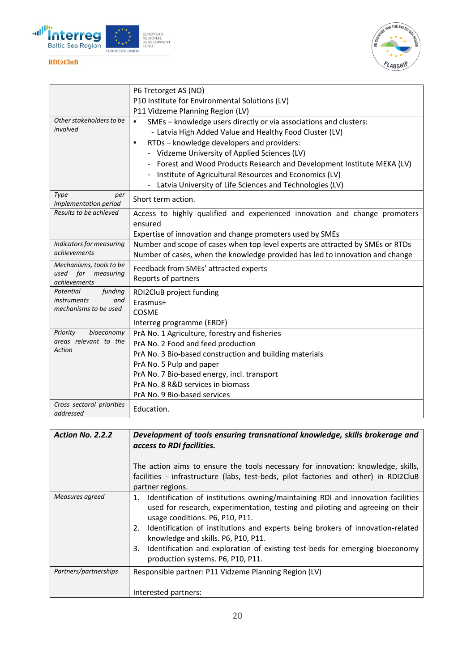



|                                        | P6 Tretorget AS (NO)                                                           |
|----------------------------------------|--------------------------------------------------------------------------------|
|                                        | P10 Institute for Environmental Solutions (LV)                                 |
|                                        | P11 Vidzeme Planning Region (LV)                                               |
| Other stakeholders to be               | SMEs - knowledge users directly or via associations and clusters:              |
| involved                               | - Latvia High Added Value and Healthy Food Cluster (LV)                        |
|                                        | RTDs - knowledge developers and providers:<br>٠                                |
|                                        | - Vidzeme University of Applied Sciences (LV)                                  |
|                                        | Forest and Wood Products Research and Development Institute MEKA (LV)          |
|                                        | Institute of Agricultural Resources and Economics (LV)                         |
|                                        | Latvia University of Life Sciences and Technologies (LV)                       |
| Type<br>per<br>implementation period   | Short term action.                                                             |
| Results to be achieved                 | Access to highly qualified and experienced innovation and change promoters     |
|                                        | ensured                                                                        |
|                                        | Expertise of innovation and change promoters used by SMEs                      |
| Indicators for measuring               | Number and scope of cases when top level experts are attracted by SMEs or RTDs |
| achievements                           | Number of cases, when the knowledge provided has led to innovation and change  |
| Mechanisms, tools to be                | Feedback from SMEs' attracted experts                                          |
| used for<br>measuring<br>achievements  | Reports of partners                                                            |
| Potential<br>funding                   | RDI2CluB project funding                                                       |
| <i>instruments</i><br>and              | Erasmus+                                                                       |
| mechanisms to be used                  | COSME                                                                          |
|                                        | Interreg programme (ERDF)                                                      |
| bioeconomy<br>Priority                 | PrA No. 1 Agriculture, forestry and fisheries                                  |
| areas relevant to the                  | PrA No. 2 Food and feed production                                             |
| Action                                 | PrA No. 3 Bio-based construction and building materials                        |
|                                        | PrA No. 5 Pulp and paper                                                       |
|                                        | PrA No. 7 Bio-based energy, incl. transport                                    |
|                                        | PrA No. 8 R&D services in biomass                                              |
|                                        | PrA No. 9 Bio-based services                                                   |
| Cross sectoral priorities<br>addressed | Education.                                                                     |

| <b>Action No. 2.2.2</b> | Development of tools ensuring transnational knowledge, skills brokerage and<br>access to RDI facilities.<br>The action aims to ensure the tools necessary for innovation: knowledge, skills,<br>facilities - infrastructure (labs, test-beds, pilot factories and other) in RDI2CluB<br>partner regions.                                                                                                                                                          |
|-------------------------|-------------------------------------------------------------------------------------------------------------------------------------------------------------------------------------------------------------------------------------------------------------------------------------------------------------------------------------------------------------------------------------------------------------------------------------------------------------------|
| Measures agreed         | Identification of institutions owning/maintaining RDI and innovation facilities<br>1.<br>used for research, experimentation, testing and piloting and agreeing on their<br>usage conditions. P6, P10, P11.<br>2. Identification of institutions and experts being brokers of innovation-related<br>knowledge and skills. P6, P10, P11.<br>Identification and exploration of existing test-beds for emerging bioeconomy<br>3.<br>production systems. P6, P10, P11. |
| Partners/partnerships   | Responsible partner: P11 Vidzeme Planning Region (LV)<br>Interested partners:                                                                                                                                                                                                                                                                                                                                                                                     |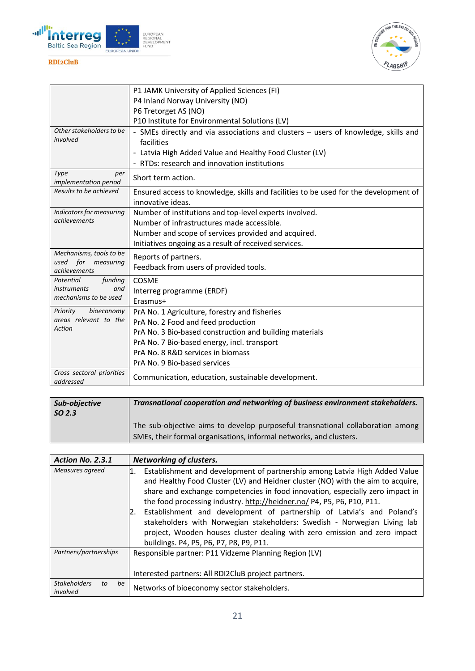



|                                          | P1 JAMK University of Applied Sciences (FI)                                                               |
|------------------------------------------|-----------------------------------------------------------------------------------------------------------|
|                                          | P4 Inland Norway University (NO)                                                                          |
|                                          | P6 Tretorget AS (NO)                                                                                      |
|                                          | P10 Institute for Environmental Solutions (LV)                                                            |
| Other stakeholders to be<br>involved     | - SMEs directly and via associations and clusters - users of knowledge, skills and<br>facilities          |
|                                          | - Latvia High Added Value and Healthy Food Cluster (LV)                                                   |
|                                          | - RTDs: research and innovation institutions                                                              |
| Type<br>per<br>implementation period     | Short term action.                                                                                        |
| Results to be achieved                   | Ensured access to knowledge, skills and facilities to be used for the development of<br>innovative ideas. |
| Indicators for measuring                 | Number of institutions and top-level experts involved.                                                    |
| achievements                             | Number of infrastructures made accessible.                                                                |
|                                          | Number and scope of services provided and acquired.                                                       |
|                                          | Initiatives ongoing as a result of received services.                                                     |
| Mechanisms, tools to be                  | Reports of partners.                                                                                      |
| for<br>used<br>measuring<br>achievements | Feedback from users of provided tools.                                                                    |
| Potential<br>funding                     | <b>COSME</b>                                                                                              |
| <i>instruments</i><br>and                | Interreg programme (ERDF)                                                                                 |
| mechanisms to be used                    | Erasmus+                                                                                                  |
| bioeconomy<br>Priority                   | PrA No. 1 Agriculture, forestry and fisheries                                                             |
| areas relevant to the                    | PrA No. 2 Food and feed production                                                                        |
| Action                                   | PrA No. 3 Bio-based construction and building materials                                                   |
|                                          | PrA No. 7 Bio-based energy, incl. transport                                                               |
|                                          | PrA No. 8 R&D services in biomass                                                                         |
|                                          | PrA No. 9 Bio-based services                                                                              |
| Cross sectoral priorities<br>addressed   | Communication, education, sustainable development.                                                        |

| Sub-objective<br>SO <sub>2.3</sub> | Transnational cooperation and networking of business environment stakeholders. |
|------------------------------------|--------------------------------------------------------------------------------|
|                                    | The sub-objective aims to develop purposeful transnational collaboration among |
|                                    | SMEs, their formal organisations, informal networks, and clusters.             |

| Action No. 2.3.1                            | <b>Networking of clusters.</b>                                                                                                                                                                                                                                                                                                                                                                                                                                                                                                                                                                                     |
|---------------------------------------------|--------------------------------------------------------------------------------------------------------------------------------------------------------------------------------------------------------------------------------------------------------------------------------------------------------------------------------------------------------------------------------------------------------------------------------------------------------------------------------------------------------------------------------------------------------------------------------------------------------------------|
| Measures agreed                             | Establishment and development of partnership among Latvia High Added Value<br>1.<br>and Healthy Food Cluster (LV) and Heidner cluster (NO) with the aim to acquire,<br>share and exchange competencies in food innovation, especially zero impact in<br>the food processing industry. http://heidner.no/ P4, P5, P6, P10, P11.<br>Establishment and development of partnership of Latvia's and Poland's<br>12.<br>stakeholders with Norwegian stakeholders: Swedish - Norwegian Living lab<br>project, Wooden houses cluster dealing with zero emission and zero impact<br>buildings. P4, P5, P6, P7, P8, P9, P11. |
| Partners/partnerships                       | Responsible partner: P11 Vidzeme Planning Region (LV)<br>Interested partners: All RDI2CluB project partners.                                                                                                                                                                                                                                                                                                                                                                                                                                                                                                       |
| <b>Stakeholders</b><br>be<br>to<br>involved | Networks of bioeconomy sector stakeholders.                                                                                                                                                                                                                                                                                                                                                                                                                                                                                                                                                                        |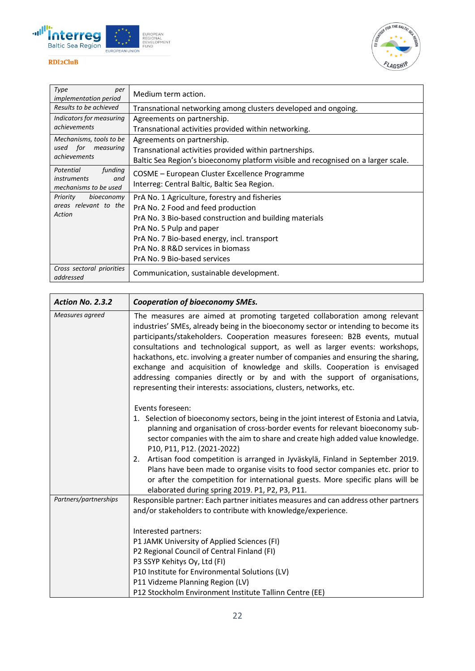



| Type<br>per<br><i>implementation period</i>       | Medium term action.                                                               |
|---------------------------------------------------|-----------------------------------------------------------------------------------|
| Results to be achieved                            | Transnational networking among clusters developed and ongoing.                    |
| Indicators for measuring                          | Agreements on partnership.                                                        |
| achievements                                      | Transnational activities provided within networking.                              |
| Mechanisms, tools to be                           | Agreements on partnership.                                                        |
| used for measuring                                | Transnational activities provided within partnerships.                            |
| achievements                                      | Baltic Sea Region's bioeconomy platform visible and recognised on a larger scale. |
| funding<br>Potential<br><i>instruments</i><br>and | COSME - European Cluster Excellence Programme                                     |
| mechanisms to be used                             | Interreg: Central Baltic, Baltic Sea Region.                                      |
| Priority<br>bioeconomy                            | PrA No. 1 Agriculture, forestry and fisheries                                     |
| areas relevant to the                             | PrA No. 2 Food and feed production                                                |
| Action                                            | PrA No. 3 Bio-based construction and building materials                           |
|                                                   | PrA No. 5 Pulp and paper                                                          |
|                                                   | PrA No. 7 Bio-based energy, incl. transport                                       |
|                                                   | PrA No. 8 R&D services in biomass                                                 |
|                                                   | PrA No. 9 Bio-based services                                                      |
| Cross sectoral priorities<br>addressed            | Communication, sustainable development.                                           |

| Action No. 2.3.2      | <b>Cooperation of bioeconomy SMEs.</b>                                                                                                                                                                                                                                                                                                                                                                                                                                                                                                                                                                                                                      |
|-----------------------|-------------------------------------------------------------------------------------------------------------------------------------------------------------------------------------------------------------------------------------------------------------------------------------------------------------------------------------------------------------------------------------------------------------------------------------------------------------------------------------------------------------------------------------------------------------------------------------------------------------------------------------------------------------|
| Measures agreed       | The measures are aimed at promoting targeted collaboration among relevant<br>industries' SMEs, already being in the bioeconomy sector or intending to become its<br>participants/stakeholders. Cooperation measures foreseen: B2B events, mutual<br>consultations and technological support, as well as larger events: workshops,<br>hackathons, etc. involving a greater number of companies and ensuring the sharing,<br>exchange and acquisition of knowledge and skills. Cooperation is envisaged<br>addressing companies directly or by and with the support of organisations,<br>representing their interests: associations, clusters, networks, etc. |
|                       | Events foreseen:<br>1. Selection of bioeconomy sectors, being in the joint interest of Estonia and Latvia,<br>planning and organisation of cross-border events for relevant bioeconomy sub-<br>sector companies with the aim to share and create high added value knowledge.<br>P10, P11, P12. (2021-2022)<br>2. Artisan food competition is arranged in Jyväskylä, Finland in September 2019.                                                                                                                                                                                                                                                              |
|                       | Plans have been made to organise visits to food sector companies etc. prior to<br>or after the competition for international guests. More specific plans will be<br>elaborated during spring 2019. P1, P2, P3, P11.                                                                                                                                                                                                                                                                                                                                                                                                                                         |
| Partners/partnerships | Responsible partner: Each partner initiates measures and can address other partners<br>and/or stakeholders to contribute with knowledge/experience.                                                                                                                                                                                                                                                                                                                                                                                                                                                                                                         |
|                       | Interested partners:                                                                                                                                                                                                                                                                                                                                                                                                                                                                                                                                                                                                                                        |
|                       | P1 JAMK University of Applied Sciences (FI)                                                                                                                                                                                                                                                                                                                                                                                                                                                                                                                                                                                                                 |
|                       | P2 Regional Council of Central Finland (FI)                                                                                                                                                                                                                                                                                                                                                                                                                                                                                                                                                                                                                 |
|                       | P3 SSYP Kehitys Oy, Ltd (FI)                                                                                                                                                                                                                                                                                                                                                                                                                                                                                                                                                                                                                                |
|                       | P10 Institute for Environmental Solutions (LV)<br>P11 Vidzeme Planning Region (LV)                                                                                                                                                                                                                                                                                                                                                                                                                                                                                                                                                                          |
|                       | P12 Stockholm Environment Institute Tallinn Centre (EE)                                                                                                                                                                                                                                                                                                                                                                                                                                                                                                                                                                                                     |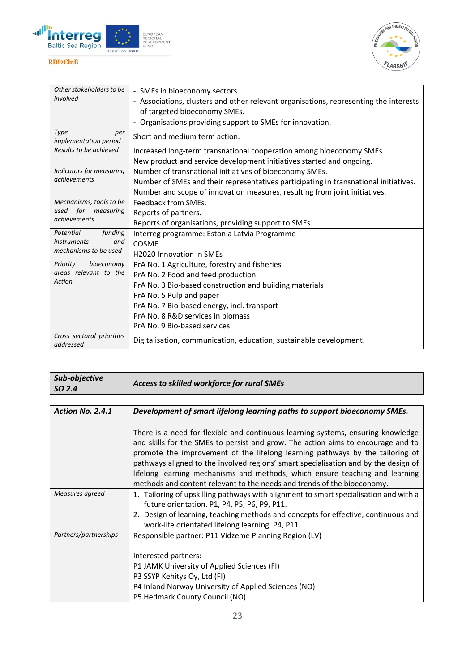



| Other stakeholders to be               | - SMEs in bioeconomy sectors.                                                         |  |  |  |
|----------------------------------------|---------------------------------------------------------------------------------------|--|--|--|
| involved                               | - Associations, clusters and other relevant organisations, representing the interests |  |  |  |
|                                        | of targeted bioeconomy SMEs.                                                          |  |  |  |
|                                        | - Organisations providing support to SMEs for innovation.                             |  |  |  |
| Type<br>per<br>implementation period   | Short and medium term action.                                                         |  |  |  |
| Results to be achieved                 | Increased long-term transnational cooperation among bioeconomy SMEs.                  |  |  |  |
|                                        | New product and service development initiatives started and ongoing.                  |  |  |  |
| Indicators for measuring               | Number of transnational initiatives of bioeconomy SMEs.                               |  |  |  |
| achievements                           | Number of SMEs and their representatives participating in transnational initiatives.  |  |  |  |
|                                        | Number and scope of innovation measures, resulting from joint initiatives.            |  |  |  |
| Mechanisms, tools to be                | Feedback from SMEs.                                                                   |  |  |  |
| used for measuring                     | Reports of partners.                                                                  |  |  |  |
| achievements                           | Reports of organisations, providing support to SMEs.                                  |  |  |  |
| Potential<br>funding                   | Interreg programme: Estonia Latvia Programme                                          |  |  |  |
| <i>instruments</i><br>and              | COSME                                                                                 |  |  |  |
| mechanisms to be used                  | <b>H2020 Innovation in SMEs</b>                                                       |  |  |  |
| Priority<br>bioeconomy                 | PrA No. 1 Agriculture, forestry and fisheries                                         |  |  |  |
| areas relevant to the<br>Action        | PrA No. 2 Food and feed production                                                    |  |  |  |
|                                        | PrA No. 3 Bio-based construction and building materials                               |  |  |  |
|                                        | PrA No. 5 Pulp and paper                                                              |  |  |  |
|                                        | PrA No. 7 Bio-based energy, incl. transport                                           |  |  |  |
|                                        | PrA No. 8 R&D services in biomass                                                     |  |  |  |
|                                        | PrA No. 9 Bio-based services                                                          |  |  |  |
| Cross sectoral priorities<br>addressed | Digitalisation, communication, education, sustainable development.                    |  |  |  |

| Sub-objective<br>SO 2.4 | Access to skilled workforce for rural SMEs                                                                                                                                                                                                                                                                                                                                                                                                                                                              |  |
|-------------------------|---------------------------------------------------------------------------------------------------------------------------------------------------------------------------------------------------------------------------------------------------------------------------------------------------------------------------------------------------------------------------------------------------------------------------------------------------------------------------------------------------------|--|
|                         |                                                                                                                                                                                                                                                                                                                                                                                                                                                                                                         |  |
| Action No. 2.4.1        | Development of smart lifelong learning paths to support bioeconomy SMEs.                                                                                                                                                                                                                                                                                                                                                                                                                                |  |
|                         | There is a need for flexible and continuous learning systems, ensuring knowledge<br>and skills for the SMEs to persist and grow. The action aims to encourage and to<br>promote the improvement of the lifelong learning pathways by the tailoring of<br>pathways aligned to the involved regions' smart specialisation and by the design of<br>lifelong learning mechanisms and methods, which ensure teaching and learning<br>methods and content relevant to the needs and trends of the bioeconomy. |  |
| Measures agreed         | 1. Tailoring of upskilling pathways with alignment to smart specialisation and with a                                                                                                                                                                                                                                                                                                                                                                                                                   |  |
|                         | future orientation. P1, P4, P5, P6, P9, P11.                                                                                                                                                                                                                                                                                                                                                                                                                                                            |  |
|                         | 2. Design of learning, teaching methods and concepts for effective, continuous and<br>work-life orientated lifelong learning. P4, P11.                                                                                                                                                                                                                                                                                                                                                                  |  |
| Partners/partnerships   | Responsible partner: P11 Vidzeme Planning Region (LV)                                                                                                                                                                                                                                                                                                                                                                                                                                                   |  |
|                         | Interested partners:<br>P1 JAMK University of Applied Sciences (FI)<br>P3 SSYP Kehitys Oy, Ltd (FI)<br>P4 Inland Norway University of Applied Sciences (NO)<br>P5 Hedmark County Council (NO)                                                                                                                                                                                                                                                                                                           |  |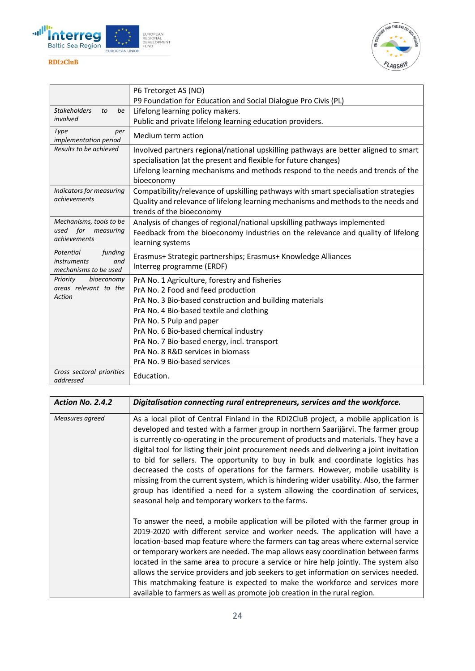



|                                                    | P6 Tretorget AS (NO)                                                                |
|----------------------------------------------------|-------------------------------------------------------------------------------------|
|                                                    | P9 Foundation for Education and Social Dialogue Pro Civis (PL)                      |
| <b>Stakeholders</b><br>to<br>be                    | Lifelong learning policy makers.                                                    |
| involved                                           | Public and private lifelong learning education providers.                           |
| Type<br>per<br>implementation period               | Medium term action                                                                  |
| Results to be achieved                             | Involved partners regional/national upskilling pathways are better aligned to smart |
|                                                    | specialisation (at the present and flexible for future changes)                     |
|                                                    | Lifelong learning mechanisms and methods respond to the needs and trends of the     |
|                                                    | bioeconomy                                                                          |
| Indicators for measuring                           | Compatibility/relevance of upskilling pathways with smart specialisation strategies |
| achievements                                       | Quality and relevance of lifelong learning mechanisms and methods to the needs and  |
|                                                    | trends of the bioeconomy                                                            |
| Mechanisms, tools to be                            | Analysis of changes of regional/national upskilling pathways implemented            |
| used for<br>measuring<br>achievements              | Feedback from the bioeconomy industries on the relevance and quality of lifelong    |
|                                                    | learning systems                                                                    |
| funding<br>Potential                               | Erasmus+ Strategic partnerships; Erasmus+ Knowledge Alliances                       |
| <i>instruments</i><br>and<br>mechanisms to be used | Interreg programme (ERDF)                                                           |
| bioeconomy<br>Priority                             | PrA No. 1 Agriculture, forestry and fisheries                                       |
| areas relevant to the<br>Action                    | PrA No. 2 Food and feed production                                                  |
|                                                    | PrA No. 3 Bio-based construction and building materials                             |
|                                                    | PrA No. 4 Bio-based textile and clothing                                            |
|                                                    | PrA No. 5 Pulp and paper                                                            |
|                                                    | PrA No. 6 Bio-based chemical industry                                               |
|                                                    | PrA No. 7 Bio-based energy, incl. transport                                         |
|                                                    | PrA No. 8 R&D services in biomass                                                   |
|                                                    | PrA No. 9 Bio-based services                                                        |
| Cross sectoral priorities<br>addressed             | Education.                                                                          |

| Action No. 2.4.2 | Digitalisation connecting rural entrepreneurs, services and the workforce.                                                                                                                                                                                                                                                                                                                                                                                                                                                                                                                                                                                                                                                                                          |
|------------------|---------------------------------------------------------------------------------------------------------------------------------------------------------------------------------------------------------------------------------------------------------------------------------------------------------------------------------------------------------------------------------------------------------------------------------------------------------------------------------------------------------------------------------------------------------------------------------------------------------------------------------------------------------------------------------------------------------------------------------------------------------------------|
| Measures agreed  | As a local pilot of Central Finland in the RDI2CluB project, a mobile application is<br>developed and tested with a farmer group in northern Saarijärvi. The farmer group<br>is currently co-operating in the procurement of products and materials. They have a<br>digital tool for listing their joint procurement needs and delivering a joint invitation<br>to bid for sellers. The opportunity to buy in bulk and coordinate logistics has<br>decreased the costs of operations for the farmers. However, mobile usability is<br>missing from the current system, which is hindering wider usability. Also, the farmer<br>group has identified a need for a system allowing the coordination of services,<br>seasonal help and temporary workers to the farms. |
|                  | To answer the need, a mobile application will be piloted with the farmer group in<br>2019-2020 with different service and worker needs. The application will have a<br>location-based map feature where the farmers can tag areas where external service<br>or temporary workers are needed. The map allows easy coordination between farms<br>located in the same area to procure a service or hire help jointly. The system also<br>allows the service providers and job seekers to get information on services needed.<br>This matchmaking feature is expected to make the workforce and services more<br>available to farmers as well as promote job creation in the rural region.                                                                              |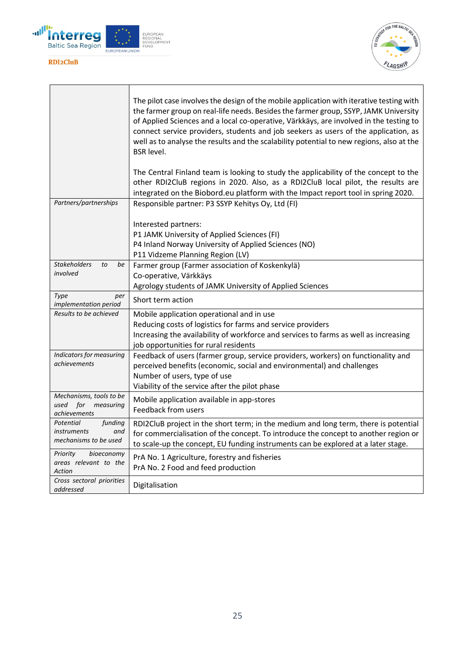



|                                                                            | The pilot case involves the design of the mobile application with iterative testing with<br>the farmer group on real-life needs. Besides the farmer group, SSYP, JAMK University<br>of Applied Sciences and a local co-operative, Värkkäys, are involved in the testing to<br>connect service providers, students and job seekers as users of the application, as<br>well as to analyse the results and the scalability potential to new regions, also at the<br><b>BSR</b> level.<br>The Central Finland team is looking to study the applicability of the concept to the<br>other RDI2CluB regions in 2020. Also, as a RDI2CluB local pilot, the results are<br>integrated on the Biobord.eu platform with the Impact report tool in spring 2020. |  |  |  |
|----------------------------------------------------------------------------|-----------------------------------------------------------------------------------------------------------------------------------------------------------------------------------------------------------------------------------------------------------------------------------------------------------------------------------------------------------------------------------------------------------------------------------------------------------------------------------------------------------------------------------------------------------------------------------------------------------------------------------------------------------------------------------------------------------------------------------------------------|--|--|--|
| Partners/partnerships                                                      | Responsible partner: P3 SSYP Kehitys Oy, Ltd (FI)                                                                                                                                                                                                                                                                                                                                                                                                                                                                                                                                                                                                                                                                                                   |  |  |  |
|                                                                            | Interested partners:<br>P1 JAMK University of Applied Sciences (FI)<br>P4 Inland Norway University of Applied Sciences (NO)<br>P11 Vidzeme Planning Region (LV)                                                                                                                                                                                                                                                                                                                                                                                                                                                                                                                                                                                     |  |  |  |
| <b>Stakeholders</b><br>to<br>be<br>involved                                | Farmer group (Farmer association of Koskenkylä)<br>Co-operative, Värkkäys                                                                                                                                                                                                                                                                                                                                                                                                                                                                                                                                                                                                                                                                           |  |  |  |
|                                                                            | Agrology students of JAMK University of Applied Sciences                                                                                                                                                                                                                                                                                                                                                                                                                                                                                                                                                                                                                                                                                            |  |  |  |
| Type<br>per<br><i>implementation period</i>                                | Short term action                                                                                                                                                                                                                                                                                                                                                                                                                                                                                                                                                                                                                                                                                                                                   |  |  |  |
| Results to be achieved                                                     | Mobile application operational and in use                                                                                                                                                                                                                                                                                                                                                                                                                                                                                                                                                                                                                                                                                                           |  |  |  |
|                                                                            | Reducing costs of logistics for farms and service providers<br>Increasing the availability of workforce and services to farms as well as increasing<br>job opportunities for rural residents                                                                                                                                                                                                                                                                                                                                                                                                                                                                                                                                                        |  |  |  |
| Indicators for measuring<br>achievements                                   | Feedback of users (farmer group, service providers, workers) on functionality and<br>perceived benefits (economic, social and environmental) and challenges<br>Number of users, type of use<br>Viability of the service after the pilot phase                                                                                                                                                                                                                                                                                                                                                                                                                                                                                                       |  |  |  |
| Mechanisms, tools to be<br>used for<br>measuring<br>achievements           | Mobile application available in app-stores<br>Feedback from users                                                                                                                                                                                                                                                                                                                                                                                                                                                                                                                                                                                                                                                                                   |  |  |  |
| Potential<br>funding<br><i>instruments</i><br>and<br>mechanisms to be used | RDI2CluB project in the short term; in the medium and long term, there is potential<br>for commercialisation of the concept. To introduce the concept to another region or<br>to scale-up the concept, EU funding instruments can be explored at a later stage.                                                                                                                                                                                                                                                                                                                                                                                                                                                                                     |  |  |  |
| Priority<br>bioeconomy<br>areas relevant to the<br>Action                  | PrA No. 1 Agriculture, forestry and fisheries<br>PrA No. 2 Food and feed production                                                                                                                                                                                                                                                                                                                                                                                                                                                                                                                                                                                                                                                                 |  |  |  |
| Cross sectoral priorities<br>addressed                                     | Digitalisation                                                                                                                                                                                                                                                                                                                                                                                                                                                                                                                                                                                                                                                                                                                                      |  |  |  |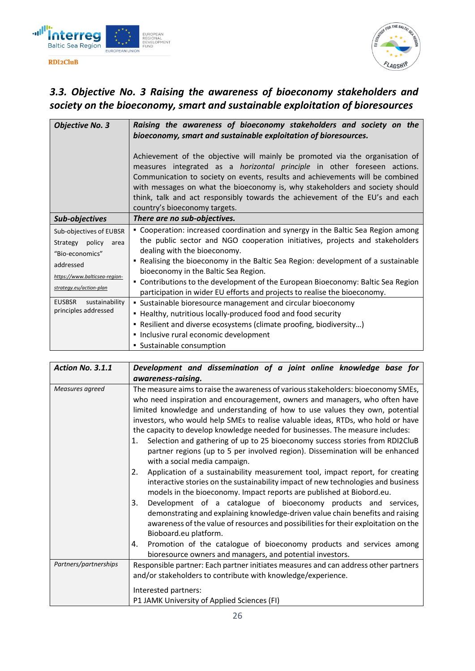

FOR THE BALTI ELAGSHIP

## <span id="page-25-0"></span>*3.3. Objective No. 3 Raising the awareness of bioeconomy stakeholders and society on the bioeconomy, smart and sustainable exploitation of bioresources*

| <b>Objective No. 3</b>          | Raising the awareness of bioeconomy stakeholders and society on the                                                                                           |  |  |  |
|---------------------------------|---------------------------------------------------------------------------------------------------------------------------------------------------------------|--|--|--|
|                                 | bioeconomy, smart and sustainable exploitation of bioresources.                                                                                               |  |  |  |
|                                 |                                                                                                                                                               |  |  |  |
|                                 | Achievement of the objective will mainly be promoted via the organisation of                                                                                  |  |  |  |
|                                 | measures integrated as a <i>horizontal principle</i> in other foreseen actions.                                                                               |  |  |  |
|                                 | Communication to society on events, results and achievements will be combined<br>with messages on what the bioeconomy is, why stakeholders and society should |  |  |  |
|                                 | think, talk and act responsibly towards the achievement of the EU's and each                                                                                  |  |  |  |
|                                 | country's bioeconomy targets.                                                                                                                                 |  |  |  |
| Sub-objectives                  | There are no sub-objectives.                                                                                                                                  |  |  |  |
| Sub-objectives of EUBSR         | • Cooperation: increased coordination and synergy in the Baltic Sea Region among                                                                              |  |  |  |
| Strategy policy<br>area         | the public sector and NGO cooperation initiatives, projects and stakeholders                                                                                  |  |  |  |
| "Bio-economics"                 | dealing with the bioeconomy.                                                                                                                                  |  |  |  |
| addressed                       | • Realising the bioeconomy in the Baltic Sea Region: development of a sustainable                                                                             |  |  |  |
| https://www.balticsea-region-   | bioeconomy in the Baltic Sea Region.                                                                                                                          |  |  |  |
| strategy.eu/action-plan         | - Contributions to the development of the European Bioeconomy: Baltic Sea Region                                                                              |  |  |  |
| <b>EUSBSR</b><br>sustainability | participation in wider EU efforts and projects to realise the bioeconomy.                                                                                     |  |  |  |
| principles addressed            | • Sustainable bioresource management and circular bioeconomy                                                                                                  |  |  |  |
|                                 | • Healthy, nutritious locally-produced food and food security                                                                                                 |  |  |  |
|                                 | • Resilient and diverse ecosystems (climate proofing, biodiversity)                                                                                           |  |  |  |
|                                 | · Inclusive rural economic development                                                                                                                        |  |  |  |
|                                 | • Sustainable consumption                                                                                                                                     |  |  |  |

| Action No. 3.1.1      | Development and dissemination of a joint online knowledge base for                                                                                                                                                                                                                                                                                                                                                                                                                                                                                                                            |
|-----------------------|-----------------------------------------------------------------------------------------------------------------------------------------------------------------------------------------------------------------------------------------------------------------------------------------------------------------------------------------------------------------------------------------------------------------------------------------------------------------------------------------------------------------------------------------------------------------------------------------------|
|                       | awareness-raising.                                                                                                                                                                                                                                                                                                                                                                                                                                                                                                                                                                            |
| Measures agreed       | The measure aims to raise the awareness of various stakeholders: bioeconomy SMEs,<br>who need inspiration and encouragement, owners and managers, who often have<br>limited knowledge and understanding of how to use values they own, potential<br>investors, who would help SMEs to realise valuable ideas, RTDs, who hold or have<br>the capacity to develop knowledge needed for businesses. The measure includes:<br>Selection and gathering of up to 25 bioeconomy success stories from RDI2CluB<br>1.<br>partner regions (up to 5 per involved region). Dissemination will be enhanced |
|                       | with a social media campaign.<br>Application of a sustainability measurement tool, impact report, for creating<br>2.<br>interactive stories on the sustainability impact of new technologies and business<br>models in the bioeconomy. Impact reports are published at Biobord.eu.<br>Development of a catalogue of bioeconomy products and services,<br>3.<br>demonstrating and explaining knowledge-driven value chain benefits and raising<br>awareness of the value of resources and possibilities for their exploitation on the<br>Bioboard.eu platform.                                 |
|                       | Promotion of the catalogue of bioeconomy products and services among<br>4.<br>bioresource owners and managers, and potential investors.                                                                                                                                                                                                                                                                                                                                                                                                                                                       |
| Partners/partnerships | Responsible partner: Each partner initiates measures and can address other partners<br>and/or stakeholders to contribute with knowledge/experience.<br>Interested partners:<br>P1 JAMK University of Applied Sciences (FI)                                                                                                                                                                                                                                                                                                                                                                    |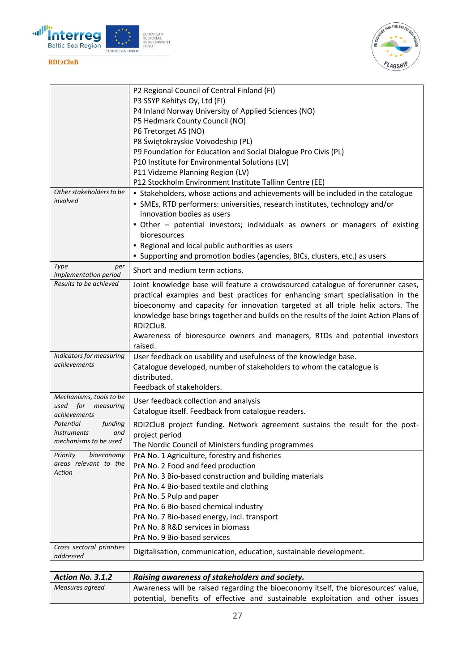



|                                       | P2 Regional Council of Central Finland (FI)                                           |
|---------------------------------------|---------------------------------------------------------------------------------------|
|                                       | P3 SSYP Kehitys Oy, Ltd (FI)                                                          |
|                                       | P4 Inland Norway University of Applied Sciences (NO)                                  |
|                                       | P5 Hedmark County Council (NO)                                                        |
|                                       | P6 Tretorget AS (NO)                                                                  |
|                                       | P8 Świętokrzyskie Voivodeship (PL)                                                    |
|                                       | P9 Foundation for Education and Social Dialogue Pro Civis (PL)                        |
|                                       | P10 Institute for Environmental Solutions (LV)                                        |
|                                       | P11 Vidzeme Planning Region (LV)                                                      |
|                                       | P12 Stockholm Environment Institute Tallinn Centre (EE)                               |
| Other stakeholders to be              | • Stakeholders, whose actions and achievements will be included in the catalogue      |
| involved                              | • SMEs, RTD performers: universities, research institutes, technology and/or          |
|                                       | innovation bodies as users                                                            |
|                                       | • Other – potential investors; individuals as owners or managers of existing          |
|                                       | bioresources                                                                          |
|                                       | - Regional and local public authorities as users                                      |
|                                       | • Supporting and promotion bodies (agencies, BICs, clusters, etc.) as users           |
| Type<br>per<br>implementation period  | Short and medium term actions.                                                        |
| Results to be achieved                | Joint knowledge base will feature a crowdsourced catalogue of forerunner cases,       |
|                                       | practical examples and best practices for enhancing smart specialisation in the       |
|                                       | bioeconomy and capacity for innovation targeted at all triple helix actors. The       |
|                                       | knowledge base brings together and builds on the results of the Joint Action Plans of |
|                                       | RDI2CluB.                                                                             |
|                                       | Awareness of bioresource owners and managers, RTDs and potential investors            |
|                                       | raised.                                                                               |
| Indicators for measuring              | User feedback on usability and usefulness of the knowledge base.                      |
| achievements                          | Catalogue developed, number of stakeholders to whom the catalogue is                  |
|                                       | distributed.                                                                          |
|                                       | Feedback of stakeholders.                                                             |
| Mechanisms, tools to be               | User feedback collection and analysis                                                 |
| used for<br>measuring<br>achievements | Catalogue itself. Feedback from catalogue readers.                                    |
| Potential<br>funding                  | RDI2CluB project funding. Network agreement sustains the result for the post-         |
| <i>instruments</i><br>and             | project period                                                                        |
| mechanisms to be used                 | The Nordic Council of Ministers funding programmes                                    |
| Priority<br>bioeconomy                | PrA No. 1 Agriculture, forestry and fisheries                                         |
| areas relevant to the                 | PrA No. 2 Food and feed production                                                    |
| Action                                | PrA No. 3 Bio-based construction and building materials                               |
|                                       | PrA No. 4 Bio-based textile and clothing                                              |
|                                       | PrA No. 5 Pulp and paper                                                              |
|                                       | PrA No. 6 Bio-based chemical industry                                                 |
|                                       | PrA No. 7 Bio-based energy, incl. transport                                           |
|                                       | PrA No. 8 R&D services in biomass                                                     |
|                                       | PrA No. 9 Bio-based services                                                          |
| Cross sectoral priorities             |                                                                                       |
| addressed                             | Digitalisation, communication, education, sustainable development.                    |

| <b>Action No. 3.1.2</b> | Raising awareness of stakeholders and society.                                     |
|-------------------------|------------------------------------------------------------------------------------|
| Measures agreed         | Awareness will be raised regarding the bioeconomy itself, the bioresources' value, |
|                         | potential, benefits of effective and sustainable exploitation and other issues     |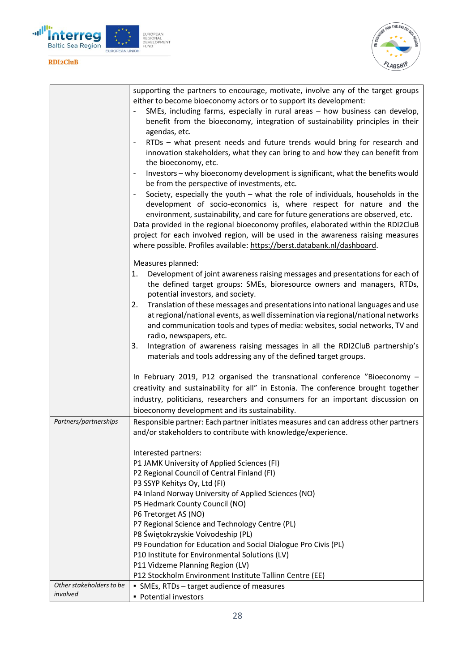



|                          | supporting the partners to encourage, motivate, involve any of the target groups                                                                  |
|--------------------------|---------------------------------------------------------------------------------------------------------------------------------------------------|
|                          | either to become bioeconomy actors or to support its development:<br>SMEs, including farms, especially in rural areas - how business can develop, |
|                          | benefit from the bioeconomy, integration of sustainability principles in their                                                                    |
|                          | agendas, etc.                                                                                                                                     |
|                          | RTDs - what present needs and future trends would bring for research and                                                                          |
|                          | innovation stakeholders, what they can bring to and how they can benefit from                                                                     |
|                          | the bioeconomy, etc.                                                                                                                              |
|                          | Investors - why bioeconomy development is significant, what the benefits would<br>$\overline{\phantom{0}}$                                        |
|                          | be from the perspective of investments, etc.                                                                                                      |
|                          | Society, especially the youth $-$ what the role of individuals, households in the                                                                 |
|                          | development of socio-economics is, where respect for nature and the                                                                               |
|                          | environment, sustainability, and care for future generations are observed, etc.                                                                   |
|                          | Data provided in the regional bioeconomy profiles, elaborated within the RDI2CluB                                                                 |
|                          | project for each involved region, will be used in the awareness raising measures                                                                  |
|                          | where possible. Profiles available: https://berst.databank.nl/dashboard.                                                                          |
|                          | Measures planned:                                                                                                                                 |
|                          | Development of joint awareness raising messages and presentations for each of<br>1.                                                               |
|                          | the defined target groups: SMEs, bioresource owners and managers, RTDs,                                                                           |
|                          | potential investors, and society.                                                                                                                 |
|                          | Translation of these messages and presentations into national languages and use<br>2.                                                             |
|                          | at regional/national events, as well dissemination via regional/national networks                                                                 |
|                          | and communication tools and types of media: websites, social networks, TV and                                                                     |
|                          | radio, newspapers, etc.                                                                                                                           |
|                          | Integration of awareness raising messages in all the RDI2CluB partnership's<br>3.                                                                 |
|                          | materials and tools addressing any of the defined target groups.                                                                                  |
|                          | In February 2019, P12 organised the transnational conference "Bioeconomy -                                                                        |
|                          | creativity and sustainability for all" in Estonia. The conference brought together                                                                |
|                          | industry, politicians, researchers and consumers for an important discussion on                                                                   |
|                          | bioeconomy development and its sustainability.                                                                                                    |
| Partners/partnerships    | Responsible partner: Each partner initiates measures and can address other partners                                                               |
|                          | and/or stakeholders to contribute with knowledge/experience.                                                                                      |
|                          |                                                                                                                                                   |
|                          | Interested partners:                                                                                                                              |
|                          | P1 JAMK University of Applied Sciences (FI)                                                                                                       |
|                          | P2 Regional Council of Central Finland (FI)                                                                                                       |
|                          | P3 SSYP Kehitys Oy, Ltd (FI)                                                                                                                      |
|                          | P4 Inland Norway University of Applied Sciences (NO)                                                                                              |
|                          | P5 Hedmark County Council (NO)                                                                                                                    |
|                          | P6 Tretorget AS (NO)<br>P7 Regional Science and Technology Centre (PL)                                                                            |
|                          | P8 Świętokrzyskie Voivodeship (PL)                                                                                                                |
|                          | P9 Foundation for Education and Social Dialogue Pro Civis (PL)                                                                                    |
|                          | P10 Institute for Environmental Solutions (LV)                                                                                                    |
|                          | P11 Vidzeme Planning Region (LV)                                                                                                                  |
|                          | P12 Stockholm Environment Institute Tallinn Centre (EE)                                                                                           |
| Other stakeholders to be | • SMEs, RTDs - target audience of measures                                                                                                        |
| involved                 | • Potential investors                                                                                                                             |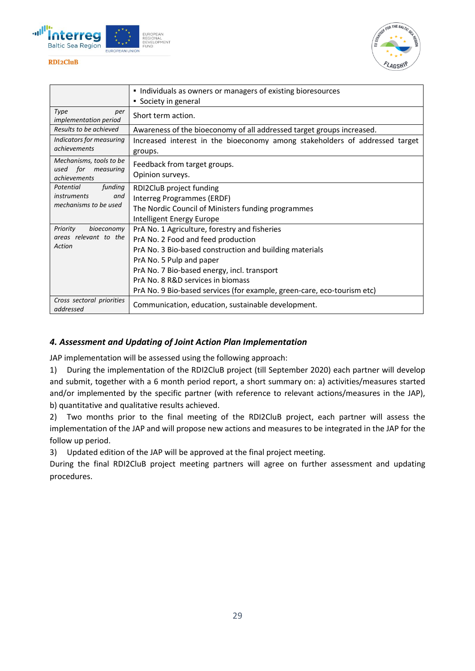



|                                                                            | Individuals as owners or managers of existing bioresources<br>• Society in general                                                                                                                                                                                                                                                        |
|----------------------------------------------------------------------------|-------------------------------------------------------------------------------------------------------------------------------------------------------------------------------------------------------------------------------------------------------------------------------------------------------------------------------------------|
| Type<br>per<br>implementation period                                       | Short term action.                                                                                                                                                                                                                                                                                                                        |
| Results to be achieved                                                     | Awareness of the bioeconomy of all addressed target groups increased.                                                                                                                                                                                                                                                                     |
| Indicators for measuring<br>achievements                                   | Increased interest in the bioeconomy among stakeholders of addressed target<br>groups.                                                                                                                                                                                                                                                    |
| Mechanisms, tools to be<br>used for measuring<br>achievements              | Feedback from target groups.<br>Opinion surveys.                                                                                                                                                                                                                                                                                          |
| Potential<br>funding<br><i>instruments</i><br>and<br>mechanisms to be used | RDI2CluB project funding<br>Interreg Programmes (ERDF)<br>The Nordic Council of Ministers funding programmes<br>Intelligent Energy Europe                                                                                                                                                                                                 |
| Priority<br>bioeconomy<br>areas relevant to the<br>Action                  | PrA No. 1 Agriculture, forestry and fisheries<br>PrA No. 2 Food and feed production<br>PrA No. 3 Bio-based construction and building materials<br>PrA No. 5 Pulp and paper<br>PrA No. 7 Bio-based energy, incl. transport<br>PrA No. 8 R&D services in biomass<br>PrA No. 9 Bio-based services (for example, green-care, eco-tourism etc) |
| Cross sectoral priorities<br>addressed                                     | Communication, education, sustainable development.                                                                                                                                                                                                                                                                                        |

### <span id="page-28-0"></span>*4. Assessment and Updating of Joint Action Plan Implementation*

JAP implementation will be assessed using the following approach:

1) During the implementation of the RDI2CluB project (till September 2020) each partner will develop and submit, together with a 6 month period report, a short summary on: a) activities/measures started and/or implemented by the specific partner (with reference to relevant actions/measures in the JAP), b) quantitative and qualitative results achieved.

2) Two months prior to the final meeting of the RDI2CluB project, each partner will assess the implementation of the JAP and will propose new actions and measures to be integrated in the JAP for the follow up period.

3) Updated edition of the JAP will be approved at the final project meeting.

<span id="page-28-1"></span>During the final RDI2CluB project meeting partners will agree on further assessment and updating procedures.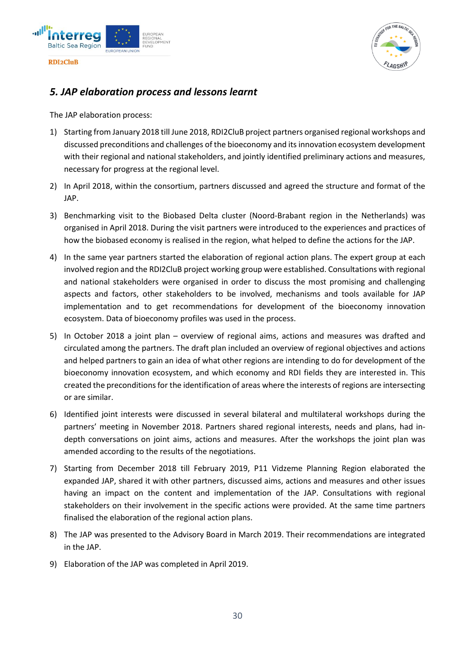



### *5. JAP elaboration process and lessons learnt*

The JAP elaboration process:

- 1) Starting from January 2018 till June 2018, RDI2CluB project partners organised regional workshops and discussed preconditions and challenges of the bioeconomy and its innovation ecosystem development with their regional and national stakeholders, and jointly identified preliminary actions and measures, necessary for progress at the regional level.
- 2) In April 2018, within the consortium, partners discussed and agreed the structure and format of the JAP.
- 3) Benchmarking visit to the Biobased Delta cluster (Noord-Brabant region in the Netherlands) was organised in April 2018. During the visit partners were introduced to the experiences and practices of how the biobased economy is realised in the region, what helped to define the actions for the JAP.
- 4) In the same year partners started the elaboration of regional action plans. The expert group at each involved region and the RDI2CluB project working group were established. Consultations with regional and national stakeholders were organised in order to discuss the most promising and challenging aspects and factors, other stakeholders to be involved, mechanisms and tools available for JAP implementation and to get recommendations for development of the bioeconomy innovation ecosystem. Data of bioeconomy profiles was used in the process.
- 5) In October 2018 a joint plan overview of regional aims, actions and measures was drafted and circulated among the partners. The draft plan included an overview of regional objectives and actions and helped partners to gain an idea of what other regions are intending to do for development of the bioeconomy innovation ecosystem, and which economy and RDI fields they are interested in. This created the preconditions for the identification of areas where the interests of regions are intersecting or are similar.
- 6) Identified joint interests were discussed in several bilateral and multilateral workshops during the partners' meeting in November 2018. Partners shared regional interests, needs and plans, had indepth conversations on joint aims, actions and measures. After the workshops the joint plan was amended according to the results of the negotiations.
- 7) Starting from December 2018 till February 2019, P11 Vidzeme Planning Region elaborated the expanded JAP, shared it with other partners, discussed aims, actions and measures and other issues having an impact on the content and implementation of the JAP. Consultations with regional stakeholders on their involvement in the specific actions were provided. At the same time partners finalised the elaboration of the regional action plans.
- 8) The JAP was presented to the Advisory Board in March 2019. Their recommendations are integrated in the JAP.
- 9) Elaboration of the JAP was completed in April 2019.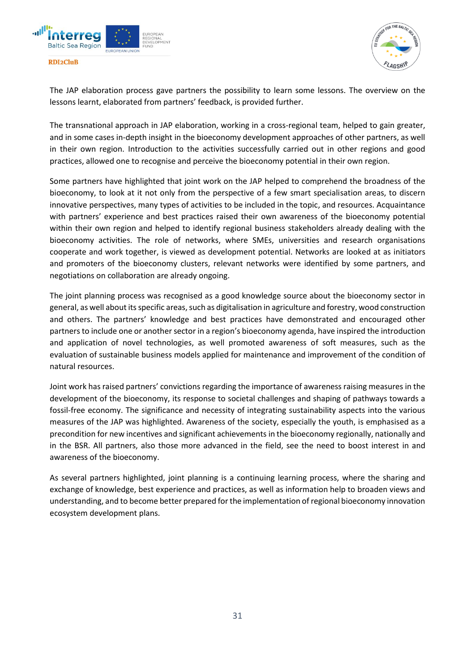

THE D

The JAP elaboration process gave partners the possibility to learn some lessons. The overview on the lessons learnt, elaborated from partners' feedback, is provided further.

The transnational approach in JAP elaboration, working in a cross-regional team, helped to gain greater, and in some cases in-depth insight in the bioeconomy development approaches of other partners, as well in their own region. Introduction to the activities successfully carried out in other regions and good practices, allowed one to recognise and perceive the bioeconomy potential in their own region.

Some partners have highlighted that joint work on the JAP helped to comprehend the broadness of the bioeconomy, to look at it not only from the perspective of a few smart specialisation areas, to discern innovative perspectives, many types of activities to be included in the topic, and resources. Acquaintance with partners' experience and best practices raised their own awareness of the bioeconomy potential within their own region and helped to identify regional business stakeholders already dealing with the bioeconomy activities. The role of networks, where SMEs, universities and research organisations cooperate and work together, is viewed as development potential. Networks are looked at as initiators and promoters of the bioeconomy clusters, relevant networks were identified by some partners, and negotiations on collaboration are already ongoing.

The joint planning process was recognised as a good knowledge source about the bioeconomy sector in general, as well about its specific areas, such as digitalisation in agriculture and forestry, wood construction and others. The partners' knowledge and best practices have demonstrated and encouraged other partners to include one or another sector in a region's bioeconomy agenda, have inspired the introduction and application of novel technologies, as well promoted awareness of soft measures, such as the evaluation of sustainable business models applied for maintenance and improvement of the condition of natural resources.

Joint work has raised partners' convictions regarding the importance of awareness raising measures in the development of the bioeconomy, its response to societal challenges and shaping of pathways towards a fossil-free economy. The significance and necessity of integrating sustainability aspects into the various measures of the JAP was highlighted. Awareness of the society, especially the youth, is emphasised as a precondition for new incentives and significant achievements in the bioeconomy regionally, nationally and in the BSR. All partners, also those more advanced in the field, see the need to boost interest in and awareness of the bioeconomy.

As several partners highlighted, joint planning is a continuing learning process, where the sharing and exchange of knowledge, best experience and practices, as well as information help to broaden views and understanding, and to become better prepared for the implementation of regional bioeconomy innovation ecosystem development plans.